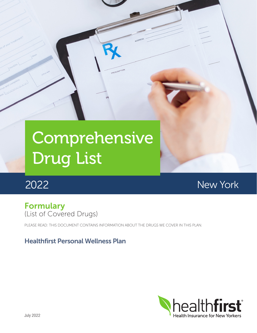# Comprehensive Drug List

# 2022

New York

## Formulary (List of Covered Drugs)

PLEASE READ: THIS DOCUMENT CONTAINS INFORMATION ABOUT THE DRUGS WE COVER IN THIS PLAN.

## Healthfirst Personal Wellness Plan

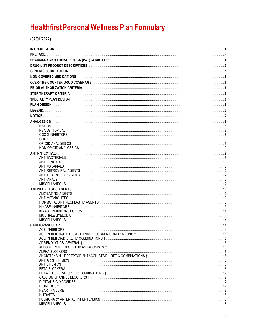## **Healthfirst Personal Wellness Plan Formulary**

 $(07/01/2022)$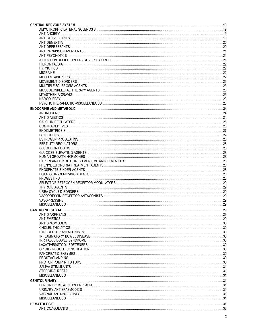| <b>GASTROINTESTINAL.</b> |  |
|--------------------------|--|
|                          |  |
|                          |  |
|                          |  |
|                          |  |
|                          |  |
|                          |  |
|                          |  |
|                          |  |
|                          |  |
|                          |  |
|                          |  |
|                          |  |
|                          |  |
|                          |  |
|                          |  |
|                          |  |
|                          |  |
|                          |  |
|                          |  |
|                          |  |
|                          |  |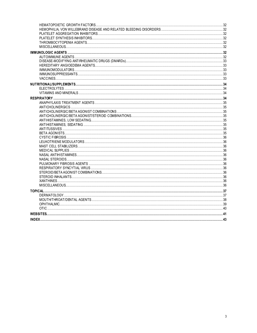| INDFX.<br><b>43. 143. 143. 143. 143. 143. 143. 143. 143. 143. 143. 143. 143. 143. 143. 143. 143. 143. 143. 143. 143. 143. 143. 143. 143. 143. 143. 143. 143. 143. 141. 141.</b> |
|---------------------------------------------------------------------------------------------------------------------------------------------------------------------------------|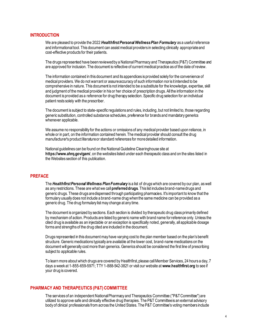#### <span id="page-4-0"></span>**INTRODUCTION**

We are pleased to provide the 2022 *Healthfirst Personal Wellness Plan Formulary* as a useful reference and informational tool. This document can assist medical providers in selecting clinically appropriate and cost-effective products for their patients.

The drugs represented have been reviewed by a National Pharmacy and Therapeutics (P&T) Committee and are approved for inclusion. The document is reflective of current medical practice as of the date of review.

The information contained in this document and its appendices is provided solely for the convenience of medical providers. We do not warrant or assure accuracy of such information nor is it intended to be comprehensive in nature. This document is not intended to be a substitute for the knowledge, expertise, skill and judgment of the medical provider in his or her choice of prescription drugs. All the information in the document is provided as a reference for drug therapy selection. Specific drug selection for an individual patient rests solely with the prescriber.

The document is subject to state-specific regulations and rules, including, but not limited to, those regarding generic substitution, controlled substance schedules, preference for brands and mandatory generics whenever applicable.

We assume no responsibility for the actions or omissions of any medical provider based upon reliance, in whole or in part, on the information contained herein. The medical provider should consult the drug manufacturer's product literature or standard references for more detailed information.

National guidelines can be found on the National Guideline Clearinghouse site at **https://www.ahrq.gov/gam/**, on the websites listed under each therapeutic class and on the sites listed in the Websites section of this publication.

#### <span id="page-4-1"></span>**PREFACE**

The *HealthfirstPersonal Wellness Plan Formulary* is a list of drugs which are covered by our plan, as well as any restrictions. These are what we call **preferred drugs**. This list includes brand-name drugs and generic drugs. These drugs are dispensed through participating pharmacies. It's important to know that the formulary usually does not include a brand-name drug when the same medicine can be provided as a generic drug. The drug formulary list may change at any time.

The document is organized by sections. Each section is divided by therapeutic drug class primarily defined by mechanism of action. Products are listed by generic name with brand name for reference only. Unless the cited drug is available as an injectable or an exception is specifically noted, generally, all applicable dosage forms and strengths of the drug cited are included in the document.

Drugs represented in this document may have varying cost to the plan member based on the plan's benefit structure. Generic medications typically are available at the lower cost, brand-name medications on the document will generally cost more than generics. Generics should be considered the first line of prescribing subject to applicable rules.

To learn more about which drugs are covered by Healthfirst, please call Member Services, 24 hours a day, 7 days a week at 1-855-659-5971; TTY 1-888-542-3821 or visit our website at **www.healthfirst.org** to see if your drug is covered.

#### <span id="page-4-2"></span>**PHARMACY AND THERAPEUTICS (P&T) COMMITTEE**

The services of an independent National Pharmacy and Therapeutics Committee ("P&T Committee") are utilized to approve safe and clinically effective drug therapies. The P&T Committee is an external advisory body of clinical professionals from across the United States. The P&T Committee's voting members include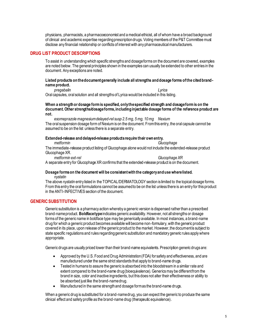physicians, pharmacists, a pharmacoeconomist and a medical ethicist, all of whom have a broad background of clinical and academic expertise regarding prescription drugs. Voting members of the P&T Committee must disclose any financial relationship or conflicts of interest with any pharmaceutical manufacturers.

#### <span id="page-5-0"></span>**DRUG LIST PRODUCT DESCRIPTIONS**

To assist in understanding which specific strengths and dosage forms on the document are covered, examples are noted below. The general principles shown in the examples can usually be extended to other entries in the document. Any exceptions are noted.

#### **Listed products on the document generally include all strengths and dosage forms of the cited brandname product.**

*pregabalin Lyrica*

Oral capsules, oral solution and all strengths of Lyrica would be included in this listing.

#### **When a strength or dosage form is specified, only the specified strength and dosage form is on the document. Other strengths/dosage forms, including injectable dosage forms of the reference product are not.**

*esomeprazole magnesium delayed-rel susp 2.5 mg, 5 mg, 10 mg Nexium* The oral suspension dosage form of Nexium is on the document. From this entry, the oral capsule cannot be assumed to be on the list unless there is a separate entry.

#### **Extended-release and delayed-release products require their own entry.**

*metformin Glucophage*

The immediate-release product listing of Glucophage alone would not include the extended-release product Glucophage XR.

*metformin ext-rel Glucophage XR* A separate entry for Glucophage XR confirms that the extended-release product is on the document.

#### **Dosage forms on the document will be consistent with the category and use where listed.** *nystatin*

The above *nystatin* entry listed in the TOPICAL/DERMATOLOGY section is limited to the topical dosage forms. From this entry the oral formulations cannot be assumed to be on the list unless there is an entry for this product in the ANTI-INFECTIVES section of the document.

#### <span id="page-5-1"></span>**GENERIC SUBSTITUTION**

Generic substitution is a pharmacy action whereby a generic version is dispensed rather than a prescribed brand-name product. **Boldface type** indicates generic availability. However, not all strengths or dosage forms of the generic name in boldface type may be generically available. In most instances, a brand-name drug for which a generic product becomes available will become non-formulary, with the generic product covered in its place, upon release of the generic product to the market. However, the document is subject to state specific regulations and rules regarding generic substitution and mandatory generic rules apply where appropriate.

Generic drugs are usually priced lower than their brand-name equivalents. Prescription generic drugs are:

- Approved by the U.S. Food and Drug Administration (FDA) for safety and effectiveness, and are manufactured under the same strict standards that apply to brand-name drugs.
- Tested in humans to assure the generic is absorbed into the bloodstream in a similar rate and extent compared to the brand-name drug (bioequivalence). Generics may be different from the brand in size, color and inactive ingredients, but this does not alter their effectiveness or ability to be absorbed just like the brand-name drug.
- Manufactured in the same strength and dosage form as the brand-name drugs.

When a generic drug is substituted for a brand-name drug, you can expect the generic to produce the same clinical effect and safety profile as the brand-name drug (therapeutic equivalence).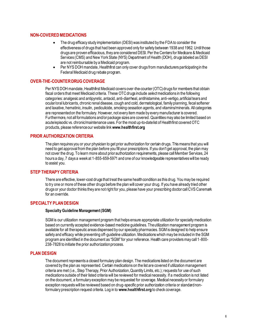#### <span id="page-6-0"></span>**NON-COVERED MEDICATIONS**

- The drug efficacy study implementation (DESI) was instituted by the FDA to consider the effectiveness of drugs that had been approved only for safety between 1938 and 1962. Until those drugs are proven efficacious, they are considered DESI. Per the Centers for Medicare & Medicaid Services (CMS) and New York State (NYS) Department of Health (DOH), drugs labeled as DESI are not reimbursable by a Medicaid program.
- Per NYS DOH mandate, Healthfirst can only cover drugs from manufacturers participating in the Federal Medicaid drug rebate program.

#### <span id="page-6-1"></span>**OVER-THE-COUNTER DRUG COVERAGE**

Per NYS DOH mandate, Healthfirst Medicaid covers over-the-counter (OTC) drugs for members that obtain fiscal orders that meet Medicaid criteria. These OTC drugs include *select*medications in the following categories: analgesic and antipyretic, antacid, anti-diarrheal, antihistamine, anti-vertigo, artificial tears and ocular/oral lubricants, chronic renal disease, cough and cold, dermatological, family planning, fecal softener and laxative, hematinic, insulin, pediculicide, smoking cessation agents, and vitamins/minerals. All categories are represented on the formulary. However, not every item made by every manufacturer is covered. Furthermore, not all formulations and/or package sizes are covered. Quantities may also be limited based on acute/episodic vs. chronic/maintenance uses. For the most up-to-date list of Healthfirst covered OTC products, please reference our website link **www.healthfirst.org**

#### <span id="page-6-2"></span>**PRIOR AUTHORIZATION CRITERIA**

The plan requires you or your physician to get prior authorization for certain drugs. This means that you will need to get approval from the plan before you fill your prescriptions. If you don't get approval, the plan may not cover the drug. To learn more about prior authorization requirements, please call Member Services, 24 hours a day, 7 days a week at 1-855-659-5971 and one of our knowledgeable representatives will be ready to assist you.

#### <span id="page-6-3"></span>**STEP THERAPY CRITERIA**

There are effective, lower-cost drugs that treat the same health condition as this drug. You may be required to try one or more of these other drugs before the plan will cover your drug. If you have already tried other drugs or your doctor thinks they are not right for you, please have your prescribing doctor call CVS Caremark for an override.

#### <span id="page-6-4"></span>**SPECIALTY PLAN DESIGN**

#### **Specialty Guideline Management (SGM)**

SGM is our utilization management program that helps ensure appropriate utilization for specialty medication based on currently accepted evidence-based medicine guidelines. The utilization management program is available for all therapeutic areas dispensed by our specialty pharmacies. SGM is designed to help ensure safety and efficacy while preventing off-guideline utilization. Medications which may be included in the SGM program are identified in the document as "SGM" for your reference. Health care providers may call 1-800- 238-7828 to initiate the prior authorization process.

#### <span id="page-6-5"></span>**PLAN DESIGN**

The document represents a closed formulary plan design. The medications listed on the document are covered by the plan as represented. Certain medications on the list are covered if utilization management criteria are met (i.e., Step Therapy, Prior Authorization, Quantity Limits, etc.); requests for use of such medications outside of their listed criteria will be reviewed for medical necessity. If a medication is not listed on the document, a formulary exception may be requested for coverage. Medical necessity or formulary exception requests will be reviewed based on drug-specific prior authorization criteria or standard nonformulary prescription request criteria. Log in to **www.healthfirst.org** to check coverage.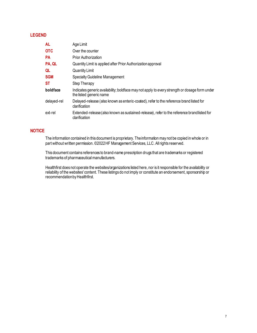#### <span id="page-7-0"></span>**LEGEND**

| <b>AL</b>   | Age Limit                                                                                                                |
|-------------|--------------------------------------------------------------------------------------------------------------------------|
| <b>OTC</b>  | Over the counter                                                                                                         |
| <b>PA</b>   | <b>Prior Authorization</b>                                                                                               |
| PA, QL      | Quantity Limit is applied after Prior Authorization approval                                                             |
| QL          | Quantity Limit                                                                                                           |
| <b>SGM</b>  | Specialty Guideline Management                                                                                           |
| ST          | Step Therapy                                                                                                             |
| boldface    | Indicates generic availability; boldface may not apply to every strength or dosage form under<br>the listed generic name |
| delayed-rel | Delayed-release (also known as enteric-coated), refer to the reference brand listed for<br>clarification                 |
| ext-rel     | Extended-release (also known as sustained-release), refer to the reference brandlisted for<br>clarification              |

#### <span id="page-7-1"></span>**NOTICE**

The information contained in this document is proprietary. The information may not be copied in whole or in part without written permission. ©2022 HF Management Services, LLC. All rights reserved.

This document contains references to brand-name prescription drugs that are trademarks or registered trademarks of pharmaceutical manufacturers.

Healthfirst does not operate the websites/organizations listed here, nor is it responsible for the availability or reliability of the websites' content. These listings do not imply or constitute an endorsement, sponsorship or recommendation by Healthfirst.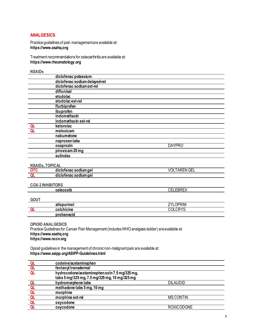#### <span id="page-8-0"></span>**ANALGESICS**

Practice guidelines of pain management are available at: **https://www.asahq.org**

Treatment recommendations for osteoarthritis are available at: **https://www.rheumatology.org**

<span id="page-8-1"></span>**NSAIDs**

|    | diclofenac potassium          |               |  |
|----|-------------------------------|---------------|--|
|    | diclofenac sodium delayed-rel |               |  |
|    | diclofenac sodium ext-rel     |               |  |
|    | diflunisal                    |               |  |
|    | etodolac                      |               |  |
|    | etodolac ext-rel              |               |  |
|    | flurbiprofen                  |               |  |
|    | ibuprofen                     |               |  |
|    | indomethacin                  |               |  |
|    | indomethacin ext-rel          |               |  |
| QL | ketorolac                     |               |  |
| QL | meloxicam                     |               |  |
|    | nabumetone                    |               |  |
|    | naproxentabs                  |               |  |
|    | oxaprozin                     | <b>DAYPRO</b> |  |
|    | piroxicam 20 mg               |               |  |
|    | sulindac                      |               |  |
|    |                               |               |  |

#### <span id="page-8-2"></span>**NSAIDs, TOPICAL**

| <br>diclotenac sodium gel        | $\sim$<br>$\lambda$<br>ŰL<br>$^{\prime}$<br>ึ⊍⊏∟<br>י ור |
|----------------------------------|----------------------------------------------------------|
| um ael<br>: soaium<br>qiciofenac |                                                          |

#### <span id="page-8-3"></span>**COX-2 INHIBITORS**

| EDDEV<br>celecoxib<br>۸ تا ۱۲ ت<br>للمساء المتحارب |
|----------------------------------------------------|
|----------------------------------------------------|

#### <span id="page-8-4"></span>**GOUT**

| ---- |                    |                            |
|------|--------------------|----------------------------|
|      | n<br>ан<br>' IIIV. | <b>OPRIM</b><br>フソロ<br>- 7 |
| ⌒    | colc<br>chicine    | $\cdots$<br>$\sim$         |
|      | probenecid         |                            |

#### <span id="page-8-5"></span>**OPIOID ANALGESICS** Practice Guidelines for Cancer Pain Management (includes WHO analgesic ladder) are available at: **https://www.asahq.org https://www.nccn.org**

Opioid guidelines in the management of chronic non-malignant pain are available at: **https://www.asipp.org/ASIPP-Guidelines.html**

| QL             | codeine/acetaminophen                         |                   |
|----------------|-----------------------------------------------|-------------------|
| QL             | fentanyl transdermal                          |                   |
| QL             | hydrocodone/acetaminophen soln 7.5 mg/325 mg, |                   |
|                | tabs 5 mg/325 mg, 7.5 mg/325 mg, 10 mg/325 mg |                   |
| QL             | hydromorphone tabs                            | <b>DILAUDID</b>   |
| QL             | methadone tabs 5 mg, 10 mg                    |                   |
| <b>OL</b>      | morphine                                      |                   |
| Q <sub>L</sub> | morphine ext-rel                              | <b>MS CONTIN</b>  |
| QL             | oxycodone                                     |                   |
|                | oxycodone                                     | <b>ROXICODONE</b> |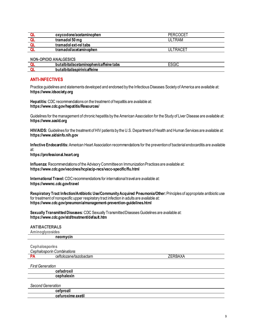| oxycodone/acetaminophen | PERCOCET |
|-------------------------|----------|
| tramadol 50 mg          | ULTRAM   |
| tramadol ext-rel tabs   |          |
| tramadol/acetaminophen  | ULTRACET |
|                         |          |

<span id="page-9-0"></span>**NON-OPIOID ANALGESICS**

| . .<br>butalbital/acetaminophen/caffeine tabs | $\sim$<br>וור ור |
|-----------------------------------------------|------------------|
| ويتعتم والمغنوا والمغبيط<br>ша<br>лн          |                  |

#### <span id="page-9-1"></span>**ANTI-INFECTIVES**

Practice guidelines and statements developed and endorsed by the Infectious Diseases Society of America are available at: **https://www.idsociety.org**

**Hepatitis:** CDC recommendations on the treatment of hepatitis are available at: **https://www.cdc.gov/hepatitis/Resources/**

Guidelines for the management of chronic hepatitis by the American Association for the Study of Liver Disease are available at: **https://www.aasld.org**

**HIV/AIDS:** Guidelines for the treatment of HIV patients by the U.S. Department of Health and Human Services are available at: **https://www.aidsinfo.nih.gov**

**Infective Endocarditis:** American Heart Association recommendations for the prevention of bacterial endocarditis are available at:

**https://professional.heart.org**

**Influenza:** Recommendations of the Advisory Committee on Immunization Practices are available at: **https://www.cdc.gov/vaccines/hcp/acip-recs/vacc-specific/flu.html**

**International Travel:**CDC recommendations for international travel are available at: **https://wwwnc.cdc.gov/travel**

**Respiratory Tract Infection/Antibiotic Use/Community Acquired Pneumonia/Other:**Principles of appropriate antibiotic use for treatment of nonspecific upper respiratory tract infection in adults are available at: **https://www.cdc.gov/pneumonia/management-prevention-guidelines.html**

**Sexually Transmitted Diseases:** CDC Sexually Transmitted Diseases Guidelines are available at: **https://www.cdc.gov/std/treatment/default.htm**

<span id="page-9-2"></span>

| <b>ANTIBACTERIALS</b> |  |  |  |  |  |
|-----------------------|--|--|--|--|--|
|-----------------------|--|--|--|--|--|

**Aminoglycosides**

|                         | neomycin                   |                |
|-------------------------|----------------------------|----------------|
|                         | <b>Cephalosporins</b>      |                |
|                         | Cephalosporin Combinations |                |
| <b>PA</b>               | ceftolozane/tazobactam     | <b>ZERBAXA</b> |
| <b>First Generation</b> |                            |                |
|                         | cefadroxil                 |                |
|                         | cephalexin                 |                |
|                         | Second Generation          |                |
|                         | cefprozil                  |                |
|                         | cefuroxime axetil          |                |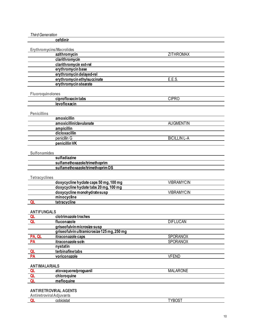<span id="page-10-2"></span><span id="page-10-1"></span><span id="page-10-0"></span>

| <b>Third Generation</b>         |                                                                           |                     |
|---------------------------------|---------------------------------------------------------------------------|---------------------|
|                                 | cefdinir                                                                  |                     |
|                                 |                                                                           |                     |
| Erythromycins/Macrolides        |                                                                           |                     |
|                                 | azithromycin                                                              | <b>ZITHROMAX</b>    |
|                                 | clarithromycin                                                            |                     |
|                                 | clarithromycin ext-rel                                                    |                     |
|                                 | erythromycin base                                                         |                     |
|                                 | erythromycin delayed-rel                                                  |                     |
|                                 | erythromycin ethylsuccinate                                               | E.E.S.              |
|                                 | erythromycin stearate                                                     |                     |
|                                 |                                                                           |                     |
| Fluoroquinolones                | ciprofloxacin tabs                                                        | <b>CIPRO</b>        |
|                                 | levofloxacin                                                              |                     |
|                                 |                                                                           |                     |
| <b>Penicillins</b>              |                                                                           |                     |
|                                 | amoxicillin                                                               |                     |
|                                 | amoxicillin/clavulanate                                                   | <b>AUGMENTIN</b>    |
|                                 | ampicillin                                                                |                     |
|                                 | dicloxacillin                                                             |                     |
|                                 | penicillin G                                                              | <b>BICILLIN L-A</b> |
|                                 | penicillin VK                                                             |                     |
|                                 |                                                                           |                     |
| <b>Sulfonamides</b>             |                                                                           |                     |
|                                 | sulfadiazine                                                              |                     |
|                                 | sulfamethoxazole/trimethoprim                                             |                     |
|                                 | sulfamethoxazole/trimethoprimDS                                           |                     |
|                                 |                                                                           |                     |
| <b>Tetracyclines</b>            |                                                                           |                     |
|                                 | doxycycline hyclate caps 50 mg, 100 mg                                    | <b>VIBRAMYCIN</b>   |
|                                 | doxycycline hyclate tabs 20 mg, 100 mg                                    |                     |
|                                 | doxycycline monohydrate susp                                              | <b>VIBRAMYCIN</b>   |
|                                 | minocycline                                                               |                     |
| Q <sub>L</sub>                  | tetracycline                                                              |                     |
|                                 |                                                                           |                     |
| <b>ANTIFUNGALS</b>              |                                                                           |                     |
| QL                              | clotrimazole troches                                                      |                     |
| QL                              | fluconazole                                                               | <u>DIFLUCAN</u>     |
|                                 | griseofulvin microsize susp<br>griseofulvin ultramicrosize 125 mg, 250 mg |                     |
| PA, QL                          | itraconazole caps                                                         | <b>SPORANOX</b>     |
| PA                              | itraconazole soln                                                         | SPORANOX            |
|                                 | nystatin                                                                  |                     |
| QL                              | terbinafinetabs                                                           |                     |
| PA                              | voriconazole                                                              | <b>VFEND</b>        |
|                                 |                                                                           |                     |
| <b>ANTIMALARIALS</b>            |                                                                           |                     |
| Q <sub>L</sub>                  | atovaquone/proguanil                                                      | <b>MALARONE</b>     |
| QL                              | chloroquine                                                               |                     |
| Q                               | mefloquine                                                                |                     |
|                                 |                                                                           |                     |
|                                 | <b>ANTIRETROVIRAL AGENTS</b>                                              |                     |
| <b>Antiretroviral Adjuvants</b> |                                                                           |                     |
| QL                              | cobicistat                                                                | <b>TYBOST</b>       |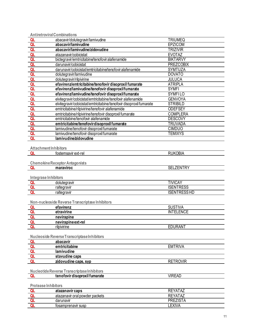|                                     | <b>Antiretroviral Combinations</b>                                  |                                    |
|-------------------------------------|---------------------------------------------------------------------|------------------------------------|
| QL                                  | abacavir/dolutegravir/lamivudine                                    | <b>TRIUMEQ</b>                     |
| Q <sub>L</sub>                      | abacavir/lamivudine                                                 | EPZICOM                            |
| QL                                  | abacavir/lamivudine/zidovudine                                      | <b>TRIZIVIR</b>                    |
| QL                                  | atazanavir/cobicistat                                               | <b>EVOTAZ</b>                      |
| <u>QL</u><br>QL                     | bictegravir/emtricitabine/tenofoviralafenamide                      | <b>BIKTARVY</b>                    |
|                                     | darunavir/cobicistat                                                | <b>PREZCOBIX</b>                   |
| QL                                  | darunavir/cobicistat/emtricitabine/tenofoviralafenamide             | SYMTUZA                            |
| QL                                  | dolutegravir/lamivudine                                             | <b>DOVATO</b>                      |
| QL                                  | dolutegravir/rilpivirine                                            | <b>JULUCA</b>                      |
| QL                                  | efavirenz/emtricitabine/tenofovir disoproxil fumarate               | <b>ATRIPLA</b>                     |
| QL                                  | efavirenz/lamivudine/tenofovir disoproxilfumarate                   | <b>SYMFI</b>                       |
| QL                                  | efavirenz/lamivudine/tenofovir disoproxilfumarate                   | <b>SYMFILO</b>                     |
| QL                                  | elvitegravir/cobicistat/emtricitabine/tenofovir alafenamide         | <b>GENVOYA</b>                     |
| QL                                  | elvitegravir/cobicistat/emtricitabine/tenofovir disoproxil fumarate | <b>STRIBILD</b>                    |
| <u>al</u><br><u>al</u><br><u>al</u> | emtricitabine/rilpivirine/tenofovir alafenamide                     | <b>ODEFSEY</b>                     |
|                                     | emtricitabine/rilpivirine/tenofovir disoproxil fumarate             | <b>COMPLERA</b>                    |
|                                     | emtricitabine/tenofovir alafenamide                                 | <b>DESCOVY</b>                     |
| QL                                  | emtricitabine/tenofovir disoproxil fumarate                         | TRUVADA                            |
| QL                                  | lamivudine/tenofovir disoproxil fumarate                            | <b>CIMDUO</b>                      |
| QL                                  | lamivudine/tenofovir disoproxil fumarate                            | <b>TEMIXYS</b>                     |
| QL                                  | lamivudine/zidovudine                                               |                                    |
|                                     |                                                                     |                                    |
|                                     | <b>Attachment Inhibitors</b>                                        |                                    |
| QL                                  | fostemsavir ext-rel                                                 | <b>RUKOBIA</b>                     |
|                                     |                                                                     |                                    |
|                                     | <b>Chemokine Receptor Antagonists</b>                               |                                    |
| QL                                  | maraviroc                                                           | <b>SELZENTRY</b>                   |
|                                     |                                                                     |                                    |
| Integrase Inhibitors                |                                                                     |                                    |
| QL<br>QL                            | dolutegravir                                                        | <b>TIVICAY</b><br><b>ISENTRESS</b> |
| QL                                  | raltegravir                                                         | <b>ISENTRESSHD</b>                 |
|                                     | raltegravir                                                         |                                    |
|                                     | Non-nucleoside Reverse Transcriptase Inhibitors                     |                                    |
| QL                                  | efavirenz                                                           | <b>SUSTIVA</b>                     |
| QL                                  | etravirine                                                          | <b>INTELENCE</b>                   |
| QL                                  | nevirapine                                                          |                                    |
|                                     | nevirapine ext-rel                                                  |                                    |
| QL<br>QL                            | rilpivirine                                                         | <b>EDURANT</b>                     |
|                                     |                                                                     |                                    |
|                                     | Nucleoside Reverse Transcriptase Inhibitors                         |                                    |
| QL                                  | abacavir                                                            |                                    |
|                                     | emtricitabine                                                       | <b>EMTRIVA</b>                     |
| $\frac{\overline{Q}}{\overline{Q}}$ | lamivudine                                                          |                                    |
|                                     | stavudine caps                                                      |                                    |
| Q <sub>l</sub>                      | zidovudine caps, syp                                                | <b>RETROVIR</b>                    |
|                                     |                                                                     |                                    |
|                                     | Nucleotide Reverse Transcriptase Inhibitors                         |                                    |
| QL                                  | tenofovir disoproxil fumarate                                       | <b>VIREAD</b>                      |
|                                     |                                                                     |                                    |
| <b>Protease Inhibitors</b>          |                                                                     |                                    |
| QL                                  | atazanavir caps                                                     | <b>REYATAZ</b>                     |
| QL                                  | atazanavir oral powder packets                                      | <b>REYATAZ</b>                     |
| QL                                  | darunavir                                                           | <b>PREZISTA</b>                    |
| QL                                  | fosamprenavir susp                                                  | <b>LEXIVA</b>                      |
|                                     |                                                                     |                                    |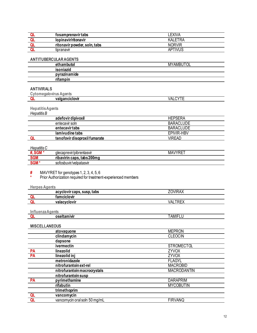<span id="page-12-2"></span><span id="page-12-1"></span><span id="page-12-0"></span>

| QL                            | fosamprenavir tabs                                             | <b>LEXIVA</b>      |
|-------------------------------|----------------------------------------------------------------|--------------------|
| QL                            | lopinavir/ritonavir                                            | <b>KALETRA</b>     |
| QL                            | ritonavir powder, soln, tabs                                   | <b>NORVIR</b>      |
| QL                            | tipranavir                                                     | <b>APTIVUS</b>     |
|                               |                                                                |                    |
|                               | <b>ANTITUBERCULARAGENTS</b>                                    |                    |
|                               | ethambutol                                                     | <b>MYAMBUTOL</b>   |
|                               | isoniazid                                                      |                    |
|                               | pyrazinamide                                                   |                    |
|                               | rifampin                                                       |                    |
|                               |                                                                |                    |
| <b>ANTIVIRALS</b>             |                                                                |                    |
| <b>Cytomegalovirus Agents</b> |                                                                |                    |
| QL                            | valganciclovir                                                 | <b>VALCYTE</b>     |
|                               |                                                                |                    |
| <b>Hepatitis Agents</b>       |                                                                |                    |
| Hepatitis B                   |                                                                |                    |
|                               | adefovir dipivoxil                                             | <b>HEPSERA</b>     |
|                               | entecavir soln                                                 | <b>BARACLUDE</b>   |
|                               | entecavir tabs                                                 | <b>BARACLUDE</b>   |
|                               | lamivudine tabs                                                | EPIVIR-HBV         |
| QL                            | tenofovir disoproxil fumarate                                  | <b>VIREAD</b>      |
|                               |                                                                |                    |
| Hepatitis C                   |                                                                |                    |
| #, SGM $*$                    | glecaprevir/pibrentasvir                                       | <b>MAVYRET</b>     |
| <b>SGM</b>                    | ribavirin caps, tabs 200mg                                     |                    |
| SGM <sup>*</sup>              | sofosbuvir/velpatasvir                                         |                    |
|                               |                                                                |                    |
|                               |                                                                |                    |
| #                             | MAVYRET for genotypes 1, 2, 3, 4, 5, 6                         |                    |
| $\star$                       | Prior Authorization required for treatment-experienced members |                    |
|                               |                                                                |                    |
| <b>Herpes Agents</b>          |                                                                |                    |
|                               | acyclovir caps, susp, tabs                                     | <b>ZOVIRAX</b>     |
| QL                            | famciclovir                                                    |                    |
| QL                            | valacyclovir                                                   | <b>VALTREX</b>     |
|                               |                                                                |                    |
| <b>Influenza Agents</b>       |                                                                |                    |
| QL                            | oseltamivir                                                    | <b>TAMIFLU</b>     |
| <b>MISCELLANEOUS</b>          |                                                                |                    |
|                               | atovaquone                                                     | <b>MEPRON</b>      |
|                               | clindamycin                                                    | <b>CLEOCIN</b>     |
|                               | dapsone                                                        |                    |
|                               | ivermectin                                                     | <b>STROMECTOL</b>  |
| PA                            | linezolid                                                      | <b>ZYVOX</b>       |
| PA                            | linezolid inj                                                  | ZYVOX              |
|                               | metronidazole                                                  | <b>FLAGYL</b>      |
|                               | nitrofurantoin ext-rel                                         | <b>MACROBID</b>    |
|                               | nitrofurantoin macrocrystals                                   | <b>MACRODANTIN</b> |
|                               | nitrofurantoin susp                                            |                    |
| PA                            | pyrimethamine                                                  | <b>DARAPRIM</b>    |
|                               | rifabutin                                                      | <b>MYCOBUTIN</b>   |
|                               | trimethoprim                                                   |                    |
| QL<br>QL                      | vancomycin<br>vancomycin oral soln 50 mg/mL                    | <b>FIRVANQ</b>     |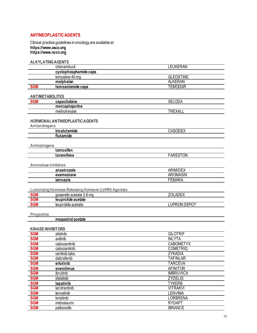#### <span id="page-13-0"></span>**ANTINEOPLASTIC AGENTS**

Clinical practice guidelines in oncology are available at: https://www.asco.org<br>https://www.asco.org

<span id="page-13-4"></span><span id="page-13-3"></span><span id="page-13-2"></span><span id="page-13-1"></span>

|                          | <b>ALKYLATING AGENTS</b>                              |                                  |  |
|--------------------------|-------------------------------------------------------|----------------------------------|--|
|                          | chlorambucil                                          | <b>LEUKERAN</b>                  |  |
|                          | cyclophosphamide caps                                 |                                  |  |
|                          | lomustine 40 mg                                       | <b>GLEOSTINE</b>                 |  |
|                          | melphalan                                             | <b>ALKERAN</b>                   |  |
| <b>SGM</b>               | temozolomide caps                                     | <b>TEMODAR</b>                   |  |
| <b>ANTIMETABOLITES</b>   |                                                       |                                  |  |
| <b>SGM</b>               | capecitabine                                          | <b>XELODA</b>                    |  |
|                          | mercaptopurine                                        |                                  |  |
|                          | methotrexate                                          | <b>TREXALL</b>                   |  |
| Antiandrogens            | <b>HORMONAL ANTINEOPLASTIC AGENTS</b>                 |                                  |  |
|                          | bicalutamide                                          | <b>CASODEX</b>                   |  |
|                          | flutamide                                             |                                  |  |
| Antiestrogens            |                                                       |                                  |  |
|                          | tamoxifen                                             |                                  |  |
|                          | toremifene                                            | <b>FARESTON</b>                  |  |
|                          | <b>Aromatase Inhibitors</b>                           |                                  |  |
|                          | anastrozole                                           | <b>ARIMIDEX</b>                  |  |
|                          | exemestane                                            | <b>AROMASIN</b>                  |  |
|                          | letrozole                                             | <b>FEMARA</b>                    |  |
|                          |                                                       |                                  |  |
|                          | Luteinizing Hormone-Releasing Hormone (LHRH) Agonists |                                  |  |
| <b>SGM</b>               | goserelin acetate 3.6 mg                              | ZOLADEX                          |  |
| <b>SGM</b><br><b>SGM</b> | leuprolide acetate                                    | <b>LUPRON DEPOT</b>              |  |
|                          | leuprolide acetate                                    |                                  |  |
| <b>Progestins</b>        |                                                       |                                  |  |
|                          | megestrol acetate                                     |                                  |  |
|                          |                                                       |                                  |  |
|                          | <b>KINASE INHIBITORS</b>                              |                                  |  |
| <b>SGM</b>               | afatinib                                              | <b>GILOTRIF</b>                  |  |
| <b>SGM</b>               | axitinib                                              | <b>INLYTA</b>                    |  |
| <b>SGM</b>               | cabozantinib                                          | <b>CABOMETYX</b>                 |  |
| <b>SGM</b>               | cabozantinib                                          | <b>COMETRIQ</b>                  |  |
| <b>SGM</b>               | ceritinib tabs                                        | ZYKADIA                          |  |
| <b>SGM</b>               | dabrafenib                                            | <b>TAFINLAR</b>                  |  |
| <b>SGM</b>               | erlotinib                                             | <b>TARCEVA</b>                   |  |
| <b>SGM</b>               | everolimus                                            | <b>AFINITOR</b>                  |  |
| <b>SGM</b>               | ibrutinib                                             | <b>IMBRUVICA</b>                 |  |
| <b>SGM</b>               | idelalisib                                            | <b>ZYDELIG</b>                   |  |
| <b>SGM</b><br><b>SGM</b> | lapatinib                                             | <b>TYKERB</b><br><b>VITRAKVI</b> |  |
| <b>SGM</b>               | larotrectinib<br>lenvatinib                           | <b>LENVIMA</b>                   |  |
| <b>SGM</b>               | lorlatinib                                            | <b>LORBRENA</b>                  |  |
| <b>SGM</b>               |                                                       | <b>RYDAPT</b>                    |  |
|                          |                                                       |                                  |  |
| <b>SGM</b>               | midostaurin<br>palbociclib                            | <b>IBRANCE</b>                   |  |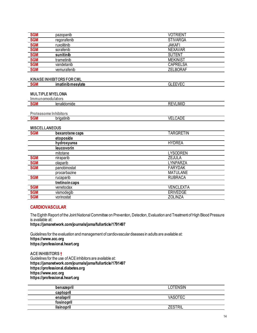<span id="page-14-1"></span><span id="page-14-0"></span>

| <b>SGM</b>           | pazopanib                                  | <b>VOTRIENT</b>  |
|----------------------|--------------------------------------------|------------------|
| <b>SGM</b>           | regorafenib                                | <b>STIVARGA</b>  |
| <b>SGM</b>           | ruxolitinib                                | <b>JAKAFI</b>    |
| <b>SGM</b>           | sorafenib                                  | <b>NEXAVAR</b>   |
| <b>SGM</b>           | sunitinib                                  | <b>SUTENT</b>    |
| <b>SGM</b>           | trametinib                                 | <b>MEKINIST</b>  |
| <b>SGM</b>           | vandetanib                                 | <b>CAPRELSA</b>  |
| <b>SGM</b>           | vemurafenib                                | <b>ZELBORAF</b>  |
|                      | <b>KINASE INHIBITORS FOR CML</b>           |                  |
| <b>SGM</b>           | imatinib mesylate                          | <b>GLEEVEC</b>   |
| Immunomodulators     | <b>MULTIPLE MYELOMA</b>                    |                  |
| <b>SGM</b>           | lenalidomide                               | <b>REVLIMID</b>  |
| <b>SGM</b>           | <b>Proteasome Inhibitors</b><br>brigatinib | <b>VELCADE</b>   |
| <b>MISCELLANEOUS</b> |                                            |                  |
| <b>SGM</b>           | bexarotene caps                            | <b>TARGRETIN</b> |
|                      | etoposide                                  |                  |
|                      | hydroxyurea                                | <b>HYDREA</b>    |
|                      | leucovorin                                 |                  |
|                      | mitotane                                   | <b>LYSODREN</b>  |
| <b>SGM</b>           | niraparib                                  | <b>ZEJULA</b>    |
| <b>SGM</b>           | olaparib                                   | <b>LYNPARZA</b>  |
| <b>SGM</b>           | panobinostat                               | <b>FARYDAK</b>   |
|                      | procarbazine                               | <b>MATULANE</b>  |
| <b>SGM</b>           | rucaparib                                  | <b>RUBRACA</b>   |
|                      | tretinoin caps                             |                  |
| <b>SGM</b>           | venetoclax                                 | <b>VENCLEXTA</b> |
| <b>SGM</b>           | vismodegib                                 | <b>ERIVEDGE</b>  |
| <b>SGM</b>           | vorinostat                                 | <b>ZOLINZA</b>   |

#### <span id="page-14-3"></span><span id="page-14-2"></span>**CARDIOVASCULAR**

The Eighth Report of the Joint National Committee on Prevention, Detection, Evaluation and Treatment of High Blood Pressure is available at:

**https://jamanetwork.com/journals/jama/fullarticle/1791497**

Guidelines for the evaluation and management of cardiovascular diseases in adults are available at: **https://www.acc.org https://professional.heart.org**

<span id="page-14-4"></span>**ACE INHIBITORS †** Guidelines for the use of ACE inhibitors are available at: **https://jamanetwork.com/journals/jama/fullarticle/1791497 https://professional.diabetes.org https://www.acc.org https://professional.heart.org**

| benazepril | LOTENSIN        |
|------------|-----------------|
| captopril  |                 |
| enalapril  | <i>V</i> ASOTEC |
| fosinopril |                 |
| lisinopril | `RIL<br>7FST    |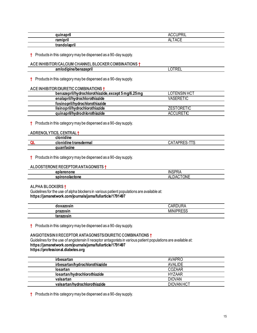| auinanril            | $\cdots$<br>៶៲∟            |
|----------------------|----------------------------|
| - 11<br>rominril<br> | $\sim$ $\sim$ $\sim$<br>AL |
| . .<br>.<br>. .      |                            |

**†** Products in this category may be dispensed as a 90-day supply.

#### <span id="page-15-0"></span>**ACE INHIBITOR/CALCIUM CHANNEL BLOCKER COMBINATIONS †**

| $ -$<br>nm<br>---------<br>-----<br>uplne/benat<br><b>zepri.</b> | .<br>.<br>-- |
|------------------------------------------------------------------|--------------|
|                                                                  |              |

**†** Products in this category may be dispensed as a 90-day supply.

#### <span id="page-15-1"></span>**ACE INHIBITOR/DIURETIC COMBINATIONS †**

| benazepril/hydrochlorothiazide, except 5 mg/6.25 mg | LOTENSIN HCT      |
|-----------------------------------------------------|-------------------|
| enalapril/hydrochlorothiazide                       | <b>VASERETIC</b>  |
| fosinopril/hydrochlorothiazide                      |                   |
| lisinopril/hydrochlorothiazide                      | <b>ZESTORETIC</b> |
| quinapril/hydrochlorothiazide                       | <b>ACCURETIC</b>  |

**†** Products in this category may be dispensed as a 90-day supply.

#### <span id="page-15-2"></span>**ADRENOLYTICS, CENTRAL †**

| clonidine                  |                                |
|----------------------------|--------------------------------|
| clonidine transdermal      | ┯┯<br>CА<br>ıс<br>$\mathbf{u}$ |
| auanfacino<br><del>.</del> |                                |

**†** Products in this category may be dispensed as a 90-day supply.

#### <span id="page-15-3"></span>**ALDOSTERONE RECEPTOR ANTAGONISTS †**

| Ierenone                         | <b>INSPR</b>                     |
|----------------------------------|----------------------------------|
| <b>nn</b>                        | $\Gamma$                         |
| spirono<br>vlactone<br>,,,,,,,,, | .<br>ΔІ<br>۱NI<br>ıΑ<br>ᇺ<br>ॱॱॱ |

<span id="page-15-4"></span>**ALPHA BLOCKERS †**

Guidelines for the use of alpha blockers in various patient populations are available at: **https://jamanetwork.com/journals/jama/fullarticle/1791497**

| <b>AVATAAIN</b><br>doxazosin | $\overline{\phantom{a}}$<br>∴AF<br>∼ |
|------------------------------|--------------------------------------|
| prazosin                     | IIDDFAA<br>MIN<br>⊾ບບ⊣               |
| 50070<br><br>ισιακυδιι       |                                      |

**†** Products in this category may be dispensed as a 90-day supply.

#### <span id="page-15-5"></span>**ANGIOTENSIN II RECEPTOR ANTAGONISTS/DIURETIC COMBINATIONS †** Guidelines for the use of angiotensin II receptor antagonists in various patient populations are available at: **https://jamanetwork.com/journals/jama/fullarticle/1791497 https://professional.diabetes.org**

| irbesartan                     | AVAPRO         |
|--------------------------------|----------------|
| irbesartan/hydrochlorothiazide | <b>AVALIDE</b> |
| losartan                       | COZAAR         |
| losartan/hydrochlorothiazide   | <b>HYZAAR</b>  |
| valsartan                      | <b>DIOVAN</b>  |
| valsartan/hydrochlorothiazide  | DIOVAN HCT     |
|                                |                |

**†** Products in this category may be dispensed as a 90-day supply.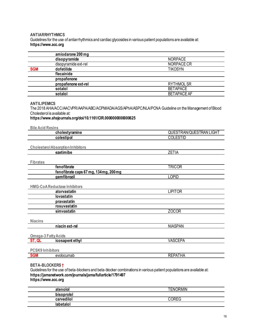#### <span id="page-16-0"></span>**ANTIARRHYTHMICS**

Guidelines for the use of antiarrhythmics and cardiac glycosides in various patient populations are available at: https://www.acc.org

<span id="page-16-1"></span>

| amiodarone 200 mg                                                                                                                                                                                                           |                                |  |
|-----------------------------------------------------------------------------------------------------------------------------------------------------------------------------------------------------------------------------|--------------------------------|--|
| disopyramide                                                                                                                                                                                                                | <b>NORPACE</b>                 |  |
| disopyramide ext-rel                                                                                                                                                                                                        | NORPACE CR                     |  |
| dofetilide<br><b>SGM</b>                                                                                                                                                                                                    | <b>TIKOSYN</b>                 |  |
| flecainide                                                                                                                                                                                                                  |                                |  |
| propafenone                                                                                                                                                                                                                 |                                |  |
| propafenone ext-rel                                                                                                                                                                                                         | <b>RYTHMOLSR</b>               |  |
| sotalol                                                                                                                                                                                                                     | <b>BETAPACE</b>                |  |
| sotalol                                                                                                                                                                                                                     | <b>BETAPACE AF</b>             |  |
| <b>ANTILIPEMICS</b><br>The 2018 AHA/ACC/AACVPR/AAPA/ABC/ACPM/ADA/AGS/APhA/ASPC/NLA/PCNA Guideline on the Management of Blood<br>Cholesterol is available at:<br>https://www.ahajournals.org/doi/10.1161/CIR.000000000000625 |                                |  |
| <b>Bile Acid Resins</b>                                                                                                                                                                                                     |                                |  |
| cholestyramine                                                                                                                                                                                                              | <b>QUESTRAN/QUESTRAN LIGHT</b> |  |
| colestipol                                                                                                                                                                                                                  | <b>COLESTID</b>                |  |
| <b>Cholesterol Absorption Inhibitors</b>                                                                                                                                                                                    |                                |  |
| ezetimibe                                                                                                                                                                                                                   | <b>ZETIA</b>                   |  |
| <b>Fibrates</b>                                                                                                                                                                                                             |                                |  |
| fenofibrate                                                                                                                                                                                                                 | <b>TRICOR</b>                  |  |
| fenofibrate caps 67 mg, 134 mg, 200 mg                                                                                                                                                                                      |                                |  |
| aemfibrozil                                                                                                                                                                                                                 | <b>LOPID</b>                   |  |
| <b>HMG-CoAReductase Inhibitors</b>                                                                                                                                                                                          |                                |  |
| atorvastatin                                                                                                                                                                                                                | <b>LIPITOR</b>                 |  |
| lovastatin                                                                                                                                                                                                                  |                                |  |
| pravastatin                                                                                                                                                                                                                 |                                |  |
| rosuvastatin                                                                                                                                                                                                                |                                |  |
| simvastatin                                                                                                                                                                                                                 | <b>ZOCOR</b>                   |  |
| <b>Niacins</b>                                                                                                                                                                                                              |                                |  |
| niacin ext-rel                                                                                                                                                                                                              | <b>NIASPAN</b>                 |  |
| <b>Omega-3 Fatty Acids</b>                                                                                                                                                                                                  |                                |  |
| ST, QL<br>icosapent ethyl                                                                                                                                                                                                   | <b>VASCEPA</b>                 |  |
| <b>PCSK9 Inhibitors</b>                                                                                                                                                                                                     |                                |  |
| <b>SGM</b><br>evolocumab                                                                                                                                                                                                    | <b>REPATHA</b>                 |  |
|                                                                                                                                                                                                                             |                                |  |

#### <span id="page-16-2"></span>**BETA-BLOCKERS †**

Guidelines for the use of beta-blockers and beta-blocker combinations in various patient populations are available at: https://jamanetwork.com/journals/jama/fullarticle/1791497 https://www.acc.org

| atenolol   | <b>TENORMIN</b> |
|------------|-----------------|
| bisoprolol |                 |
| carvedilol | <b>ODEC</b>     |
| labetalol  |                 |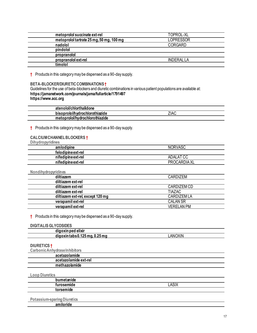| metoprolol succinate ext-rel             | TOPROL-XL  |
|------------------------------------------|------------|
| metoprolol tartrate 25 mg, 50 mg, 100 mg | LOPRESSOR  |
| nadolol                                  | CORGARD    |
| pindolol                                 |            |
| propranolol                              |            |
| propranolol ext-rel                      | INDERAL LA |
| timolol                                  |            |

**†** Products in this category may be dispensed as a 90-day supply.

### <span id="page-17-0"></span>**BETA-BLOCKER/DIURETIC COMBINATIONS †**

Guidelines for the use of beta-blockers and diuretic combinations in various patient populations are available at: **https://jamanetwork.com/journals/jama/fullarticle/1791497 https://www.acc.org**

| atenolol/chlorthalidone        |      |
|--------------------------------|------|
| bisoprolol/hydrochlorothiazide | ZIAC |
| metoprolol/hydrochlorothiazide |      |

**†** Products in this category may be dispensed as a 90-day supply.

#### <span id="page-17-1"></span>**CALCIUM CHANNEL BLOCKERS †**

| Dihydropyridines |
|------------------|
|                  |

| amlodipine         | <b>NORVASC</b> |
|--------------------|----------------|
| felodipine ext-rel |                |
| nifedipine ext-rel | ADALAT CC      |
| nifedipine ext-rel | PROCARDIA XL   |
|                    |                |

| Nondihydropyridines              |                 |
|----------------------------------|-----------------|
| diltiazem                        | CARDIZEM        |
| diltiazem ext-rel                |                 |
| diltiazem ext-rel                | CARDIZEM CD     |
| diltiazem ext-rel                | <b>TIAZAC</b>   |
| diltiazem ext-rel, except 120 mg | CARDIZEMLA      |
| verapamil ext-rel                | <b>CALAN SR</b> |
| verapamil ext-rel                | VFRFI AN PM     |

#### **†** Products in this category may be dispensed as a 90-day supply.

#### <span id="page-17-2"></span>**DIGITALIS GLYCOSIDES**

| ΔNί |
|-----|
|     |

#### <span id="page-17-3"></span>**DIURETICS †**

| Carbonic Anhydrase Inhibitors |  |
|-------------------------------|--|
| acetazolamide                 |  |
| acetazolamide ext-rel         |  |
| methazolamide                 |  |
|                               |  |

#### **Loop Diuretics**

| . .<br>bumetanide |                          |
|-------------------|--------------------------|
| <i>furosemide</i> | $\sim$<br>Λ<br>AC<br>راز |
| torsemide<br>iue  |                          |
|                   |                          |

#### **Potassium-sparing Diuretics**

**amiloride**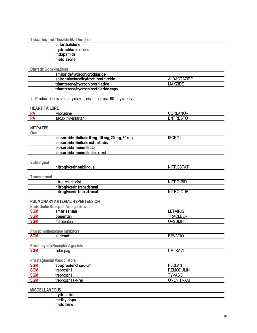Thiazides and Thiazide-like Diuretics

| chlorthalidone      |  |
|---------------------|--|
| hydrochlorothiazide |  |
| indapamide          |  |
| metolazone          |  |

**Diuretic Combinations** 

| amiloride/hydrochlorothiazide        |                |  |
|--------------------------------------|----------------|--|
| spironolactone/hydrochlorothiazide   | ALDACTAZIDE    |  |
| triamterene/hydrochlorothiazide      | <b>MAXZIDE</b> |  |
| triamterene/hydrochlorothiazide caps |                |  |

 $\dagger$  Products in this category may be dispensed as a 90-day supply.

#### <span id="page-18-0"></span>**HEART FAILURE**

| IILAI\I I AILVI\L |                                        |                      |
|-------------------|----------------------------------------|----------------------|
|                   | <i>vabradine</i>                       | $\cdots$<br>ΔГ.<br>ີ |
|                   | <br>sacubitril/<br>$-10$<br>vaisariar. | ------<br>-          |

#### <span id="page-18-1"></span>**NITRATES**  $Q_{\text{real}}$

| Ural       |                                                |                |  |
|------------|------------------------------------------------|----------------|--|
|            | isosorbide dinitrate 5 mg, 10 mg, 20 mg, 30 mg | <b>ISORDIL</b> |  |
|            | isosorbide dinitrate ext-rel tabs              |                |  |
|            | isosorbide mononitrate                         |                |  |
|            | isosorbide mononitrate ext-rel                 |                |  |
|            |                                                |                |  |
| Sublingual |                                                |                |  |
|            | nitroglycerin sublingual                       | NITROSTAT      |  |
|            |                                                |                |  |

| Transdermal |                    |  |
|-------------|--------------------|--|
|             | nitroglycerin oint |  |

| nitroglycerin oint        | NITRO-BID |
|---------------------------|-----------|
| nitroglycerin transdermal |           |
| nitroglycerin transdermal | NITRO-DUR |
|                           |           |

#### <span id="page-18-2"></span>PULMONARY ARTERIAL HYPERTENSION

| <b>SGM</b><br>LETAIRIS<br>ambrisentan     |  |
|-------------------------------------------|--|
| <b>SGM</b><br><b>TRACLEER</b><br>bosentan |  |
| <b>SGM</b><br>opsumit<br>macitentan       |  |

| <b>Phosphodiesterase Inhibitors</b> |            |                |
|-------------------------------------|------------|----------------|
| <b>SGM</b>                          | sildenafil | <b>REVATIO</b> |
|                                     |            |                |

|     | <b>Prostacyclin Receptor Agonists</b> |                   |
|-----|---------------------------------------|-------------------|
| SGM | selexipad                             | <b>TRAV</b><br>JP |

#### Prostaglandin Vasodilators

| <b>SGM</b> | epoprostenol sodium  | <b>LOLAN</b>     |
|------------|----------------------|------------------|
| <b>SGM</b> | treprostinil         | <b>REMODULIN</b> |
| <b>SGM</b> | treprostinil         | TYVASO           |
| <b>SGM</b> | treprostinil ext-rel | <b>ORENITRAM</b> |

#### <span id="page-18-3"></span>**MISCELLANEOUS**

| .<br>----                              |  |
|----------------------------------------|--|
| . .<br>. .<br>meth <sup>v</sup> '<br>. |  |
|                                        |  |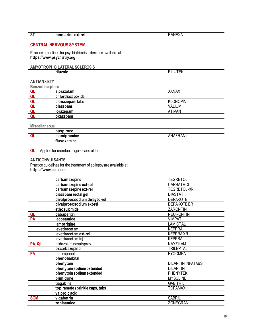<span id="page-19-0"></span>

| ST | ranolazine ext-rel                                                                            | RANEXA  |
|----|-----------------------------------------------------------------------------------------------|---------|
|    | <b>CENTRAL NERVOUS SYSTEM</b>                                                                 |         |
|    | Practice guidelines for psychiatric disorders are available at:<br>https://www.psychiatry.org |         |
|    | AMYOTROPHIC LATERAL SCLEROSIS                                                                 |         |
|    | riluzole                                                                                      | RILUTEK |

<span id="page-19-2"></span><span id="page-19-1"></span>

| <b>ANTIANXIETY</b>     |                  |                 |  |
|------------------------|------------------|-----------------|--|
| <b>Benzodiazepines</b> |                  |                 |  |
| QL                     | alprazolam       | <b>XANAX</b>    |  |
|                        | chlordiazepoxide |                 |  |
| QL                     | clonazepamtabs   | <b>KLONOPIN</b> |  |
| QL                     | diazepam         | <b>VALIUM</b>   |  |
|                        | lorazepam        | <b>ATIVAN</b>   |  |
|                        | oxazepam         |                 |  |

**Miscellaneous**

| buspirone<br>n u     |                    |
|----------------------|--------------------|
| omipramine<br>un<br> | 1.11<br>ANAL<br>ΑN |
| nine<br>τιι          |                    |

**QL** Applies for members age 65 and older

#### <span id="page-19-3"></span>**ANTICONVULSANTS**

Practice guidelines for the treatment of epilepsy are available at: **https://www.aan.com**

|            | carbamazepine                  | <b>TEGRETOL</b>          |
|------------|--------------------------------|--------------------------|
|            | carbamazepine ext-rel          | CARBATROL                |
|            | carbamazepine ext-rel          | <b>TEGRETOL-XR</b>       |
|            | diazepam rectal gel            | <b>DIASTAT</b>           |
|            | divalproex sodium delayed-rel  | <b>DEPAKOTE</b>          |
|            | divalproex sodium ext-rel      | <b>DEPAKOTE ER</b>       |
|            | ethosuximide                   | <b>ZARONTIN</b>          |
| QL         | gabapentin                     | <b>NEURONTIN</b>         |
| PA         | lacosamide                     | <b>VIMPAT</b>            |
|            | lamotrigine                    | <b>LAMICTAL</b>          |
|            | levetiracetam                  | <b>KEPPRA</b>            |
|            | levetiracetam ext-rel          | <b>KEPPRAXR</b>          |
|            | levetiracetam inj              | <b>KEPPRA</b>            |
| PA, QL     | midazolam nasal spray          | NAYZILAM                 |
|            | oxcarbazepine                  | TRILEPTAL                |
| PA         | perampanel                     | <b>FYCOMPA</b>           |
|            | phenobarbital                  |                          |
|            | phenytoin                      | <b>DILANTIN INFATABS</b> |
|            | phenytoin sodium extended      | <b>DILANTIN</b>          |
|            | phenytoin sodium extended      | <b>PHENYTEK</b>          |
|            | primidone                      | <b>MYSOLINE</b>          |
|            | tiagabine                      | <b>GABITRIL</b>          |
|            | topiramate sprinkle caps, tabs | TOPAMAX                  |
|            | valproic acid                  |                          |
| <b>SGM</b> | vigabatrin                     | <b>SABRIL</b>            |
|            | zonisamide                     | <b>ZONEGRAN</b>          |
|            |                                |                          |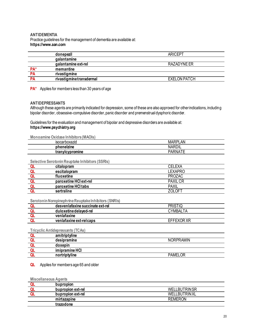#### <span id="page-20-0"></span>**ANTIDEMENTIA** Practice guidelines for the management of dementia are available at: **https://www.aan.com**

|                 | donepezil               | <b>ARICEPT</b>      |
|-----------------|-------------------------|---------------------|
|                 | <b>galantamine</b>      |                     |
|                 | galantamine ext-rel     | RAZADYNE ER         |
| PA <sup>*</sup> | memantine               |                     |
| <b>PA</b>       | rivastigmine            |                     |
| <b>PA</b>       | rivastigminetransdermal | <b>EXELON PATCH</b> |

**PA\*** Applies for members less than 30 years of age

#### <span id="page-20-1"></span>**ANTIDEPRESSANTS**

Although these agents are primarily indicated for depression, some of these are also approved for other indications, including bipolar disorder, obsessive-compulsive disorder, panic disorder and premenstrual dysphoric disorder.

Guidelines for the evaluation and management of bipolar and depressive disorders are available at: **https://www.psychiatry.org**

**Monoamine Oxidase Inhibitors (MAOIs)**

| <b>MUNICAL LIBRARY CARGO CONTROLS (MITTOLS)</b> |                |
|-------------------------------------------------|----------------|
| <b>ISOCARDOXAZIC</b>                            | <b>MARPLAN</b> |
| phenelzine                                      | <b>NARDIL</b>  |
| tranylcypromine                                 | PARNA          |
|                                                 |                |

#### **Selective Serotonin Reuptake Inhibitors (SSRIs)**

| citalopram             | <b>CELEXA</b>   |
|------------------------|-----------------|
| escitalopram           | <b>LEXAPRO</b>  |
| fluoxetine             | <b>PROZAC</b>   |
| paroxetine HCI ext-rel | <b>PAXIL CR</b> |
| paroxetine HCI tabs    | <b>PAXIL</b>    |
| sertraline             | ZOLOF'          |

**Serotonin Norepinephrine Reuptake Inhibitors (SNRIs)**

| desvenlafaxine succinate ext-rel | <b>PRISTIQ</b> |
|----------------------------------|----------------|
| duloxetine delaved-rel           | CYMBALTA       |
| venlafaxine                      |                |
| venlafaxine ext-rel caps         | EFFEXOR XR     |

**Tricyclic Antidepressants (TCAs)**

| amitriptyline  |                  |
|----------------|------------------|
| desipramine    | <b>NORPRAMIN</b> |
| doxepin        |                  |
| imipramine HCI |                  |
| nortriptyline  | <b>PAMELOR</b>   |

**QL** Applies for members age 65 and older

**Miscellaneous Agents**

| bupropion         |                     |
|-------------------|---------------------|
| bupropion ext-rel | <b>WELLBUTRINSR</b> |
| bupropion ext-rel | <b>WELLBUTRINXL</b> |
| mirtazapine       | <b>REMERON</b>      |
| trazodone         |                     |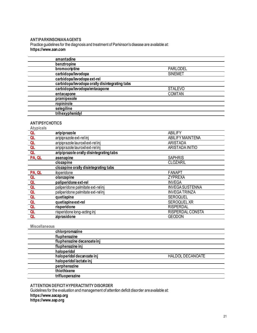#### <span id="page-21-0"></span>**ANTIPARKINSONIAN AGENTS**

Practice guidelines for the diagnosis and treatment of Parkinson's disease are available at: **https://www.aan.com**

| amantadine                                    |                 |  |
|-----------------------------------------------|-----------------|--|
| benztropine                                   |                 |  |
| bromocriptine                                 | <b>PARLODEL</b> |  |
| carbidopa/levodopa                            | <b>SINEMET</b>  |  |
| carbidopa/levodopa ext-rel                    |                 |  |
| carbidopa/levodopa orally disintegrating tabs |                 |  |
| carbidopa/levodopa/entacapone                 | <b>STALEVO</b>  |  |
| entacapone                                    | <b>COMTAN</b>   |  |
| pramipexole                                   |                 |  |
| ropinirole                                    |                 |  |
| selegiline                                    |                 |  |
| trihexyphenidyl                               |                 |  |

## <span id="page-21-1"></span>**ANTIPSYCHOTICS**

| <b>Atypicals</b> |                                         |                         |
|------------------|-----------------------------------------|-------------------------|
| QL               | aripiprazole                            | <b>ABILIFY</b>          |
| QL               | aripiprazole ext-rel inj                | <b>ABILIFY MAINTENA</b> |
| QL               | aripiprazole lauroxil ext-rel inj       | ARISTADA                |
| QL               | aripiprazole lauroxil ext-rel inj       | <b>ARISTADA INITIO</b>  |
| QL               | aripiprazole orally disintegrating tabs |                         |
| PA, QL           | asenapine                               | <b>SAPHRIS</b>          |
|                  | clozapine                               | <b>CLOZARIL</b>         |
|                  | clozapine orally disintegrating tabs    |                         |
| PA, QL           | iloperidone                             | <b>FANAPT</b>           |
| QL               | olanzapine                              | <b>ZYPREXA</b>          |
| QL               | paliperidone ext-rel                    | <b>INVEGA</b>           |
| Q <sub>L</sub>   | paliperidone palmitate ext-rel inj      | <b>INVEGA SUSTENNA</b>  |
| QL               | paliperidone palmitate ext-rel inj      | <b>INVEGATRINZA</b>     |
| QL               | quetiapine                              | <b>SEROQUEL</b>         |
| QL               | quetiapine ext-rel                      | <b>SEROQUEL XR</b>      |
| QL               | risperidone                             | <b>RISPERDAL</b>        |
| QL               | risperidone long-acting inj             | <b>RISPERDAL CONSTA</b> |
| Q <sub>L</sub>   | ziprasidone                             | <b>GEODON</b>           |

#### **Miscellaneous**

| ,,,,,,,,,,,,,,,,,,,,       |                         |
|----------------------------|-------------------------|
| chlorpromazine             |                         |
| fluphenazine               |                         |
| fluphenazine decanoate inj |                         |
| fluphenazine inj           |                         |
| haloperidol                |                         |
| haloperidol decanoate inj  | <b>HALDOL DECANOATE</b> |
| haloperidol lactate inj    |                         |
| perphenazine               |                         |
| thiothixene                |                         |
| trifluoperazine            |                         |
|                            |                         |

#### <span id="page-21-2"></span>**ATTENTION DEFICIT HYPERACTIVITY DISORDER**

Guidelines for the evaluation and management of attention deficit disorder are available at: **https://www.aacap.org https://www.aap.org**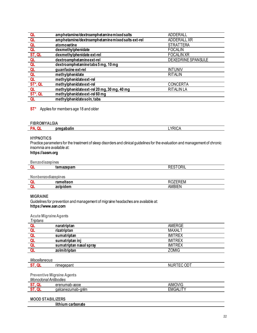| QL                 | amphetamine/dextroamphetaminemixed salts         | <b>ADDERALL</b>    |
|--------------------|--------------------------------------------------|--------------------|
| QL                 | amphetamine/dextroamphetaminemixed salts ext-rel | ADDERALL XR        |
| QL                 | atomoxetine                                      | <b>STRATTERA</b>   |
| Q <sub>L</sub>     | dexmethylphenidate                               | <b>FOCALIN</b>     |
| ST, QL             | dexmethylphenidate ext-rel                       | <b>FOCALIN XR</b>  |
| QL                 | dextroamphetamine ext-rel                        | DEXEDRINE SPANSULE |
| QL                 | dextroamphetaminetabs5mg, 10mg                   |                    |
| QL                 | guanfacine ext-rel                               | <b>INTUNIV</b>     |
| QL                 | methylphenidate                                  | <b>RITALIN</b>     |
| QL                 | methylphenidate ext-rel                          |                    |
| ST*, QL            | methylphenidate ext-rel                          | <b>CONCERTA</b>    |
|                    | methylphenidate ext-rel 20 mg, 30 mg, 40 mg      | <b>RITALIN LA</b>  |
| $rac{QL}{ST^*,QL}$ | methylphenidate ext-rel 60 mg                    |                    |
| QL                 | methylphenidate soln, tabs                       |                    |

**ST\*** Applies for members age 18 and older

<span id="page-22-0"></span>

| <b>FIBROMYALGIA</b> |            |                    |
|---------------------|------------|--------------------|
| <b>DA</b>           | pregabalin | <b>YRIC</b><br>ىن. |

#### <span id="page-22-1"></span>**HYPNOTICS**

Practice parameters for the treatment of sleep disorders and clinical guidelines for the evaluation and management of chronic insomnia are available at:

### **https://aasm.org**

#### **Benzodiazepines**

| $-$ - $-$ - $-$ - $-$ - $-$ - $-$ - $-$ - $-$ |                 |
|-----------------------------------------------|-----------------|
| temazepam                                     | <b>RESTORIL</b> |
|                                               |                 |

#### **Nonbenzodiazepines**

| romoli<br>теот.<br>ашы | ZEREM        |
|------------------------|--------------|
| 70 H<br>e ver<br>--    | .<br>AMBIF ⊺ |

#### <span id="page-22-2"></span>**MIGRAINE**

Guidelines for prevention and management of migraine headaches are available at: **https://www.aan.com**

#### **Acute Migraine Agents**

| Triptans |                         |                |
|----------|-------------------------|----------------|
|          | naratriptan             | AMERGE         |
|          | rizatriptan             | <b>MAXALT</b>  |
|          | sumatriptan             | <b>IMITREX</b> |
|          | sumatriptan inj         | <b>IMITREX</b> |
|          | sumatriptan nasal spray | <b>IMITREX</b> |
|          | zolmitriptan            | <b>ZOMIG</b>   |

#### *Miscellaneous*

| --<br>--- | rimegepant | <b>NIIRT<sup>-</sup></b><br>$ -$<br>OD |
|-----------|------------|----------------------------------------|
|           |            |                                        |

#### **Preventive Migraine Agents**

*Monoclonal Antibodies*

| -aooe<br>erenumab-ad | Iovig<br>$\mathbf{r}$<br>$\sim$<br>AIM( |
|----------------------|-----------------------------------------|
| galcanezumab-gnlm    | <br>⌒<br>⊂MG′<br>'∽ت<br>∼               |

#### <span id="page-22-3"></span>**MOOD STABILIZERS**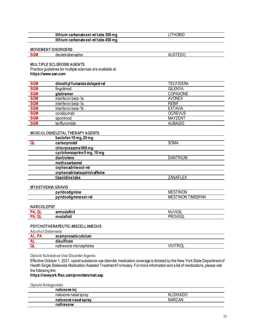| lithium carbonate ext-rel tabs 300 mg | 'hobil |
|---------------------------------------|--------|
| lithium carbonate ext-rel tabs 450 mg |        |

<span id="page-23-0"></span>**MOVEMENT DISORDERS**

| <b>SGM</b> | deutetrabenazine | . . <b>.</b><br>л<br>10<br>-- |
|------------|------------------|-------------------------------|
|            |                  |                               |

<span id="page-23-1"></span>**MULTIPLE SCLEROSIS AGENTS**

Practice guidelines for multiple sclerosis are available at:

#### **https://www.aan.com**

| <b>SGM</b> | dimethyl fumarate delayed-rel | TECFIDERA       |
|------------|-------------------------------|-----------------|
| <b>SGM</b> | fingolimod                    | <b>GILENYA</b>  |
| <b>SGM</b> | glatiramer                    | <b>COPAXONE</b> |
| <b>SGM</b> | interferon beta-1a            | <b>AVONEX</b>   |
| <b>SGM</b> | interferon beta-1a            | <b>REBIF</b>    |
| <b>SGM</b> | interferon beta-1b            | <b>EXTAVIA</b>  |
| <b>SGM</b> | ocrelizumab                   | <b>OCREVUS</b>  |
| <b>SGM</b> | siponimod                     | <b>MAYZENT</b>  |
| <b>SGM</b> | teriflunomide                 | <b>AUBAGIO</b>  |
|            |                               |                 |

#### <span id="page-23-2"></span>**MUSCULOSKELETAL THERAPY AGENTS**

| baclofen 10 mg, 20 mg         |                 |  |
|-------------------------------|-----------------|--|
| carisoprodol                  | <b>SOMA</b>     |  |
| chlorzoxazone 500 mg          |                 |  |
| cyclobenzaprine5 mg, 10 mg    |                 |  |
| dantrolene                    | <b>DANTRIUM</b> |  |
| methocarbamol                 |                 |  |
| orphenadrineext-rel           |                 |  |
| orphenadrine/aspirin/caffeine |                 |  |
| tizanidinetabs                | <b>ZANAFLEX</b> |  |
|                               |                 |  |

#### <span id="page-23-3"></span>**MYASTHENIA GRAVIS**

| <br>----           | 'ON<br><br>MI<br>IN.        |
|--------------------|-----------------------------|
| r0.<br>----<br>וסו | TIMESPAN<br>'N<br>Mŀ<br>INI |
|                    |                             |

#### <span id="page-23-4"></span>**NARCOLEPSY**

| ייב <i>וו</i> וורג<br>חח.<br>N<br>.<br><b>D</b><br>m<br>----<br>шш<br>◡<br>- 1 |  |
|--------------------------------------------------------------------------------|--|

#### <span id="page-23-5"></span>**PSYCHOTHERAPEUTIC-MISCELLANEOUS**

**Alcohol Deterrents**

| <b>TIM</b> | acamprosate calcium                |                                        |
|------------|------------------------------------|----------------------------------------|
| m          | <br><br>i vo w<br>. .<br>11 a 11 1 |                                        |
|            | naltrexone microspheres            | $\mathbf{u}$<br>$\cdots$<br>' I V<br>◡ |

**Opioid Substance Use Disorder Agents**

Effective October 1, 2021, opioid substance use disorder medication coverage is dictated by the New York State Department of Health Single Statewide Medication Assisted Treatment Formulary. For more information and a list of medications, please visit the following link:

#### **https://newyork.fhsc.com/providers/mat.asp**

**Opioid Antagonists**

| naloxone ini         |                 |
|----------------------|-----------------|
| naloxone nasal sprav | <b>KLOXXADO</b> |
| naloxone nasal spray | <b>NARCAN</b>   |
| naltrexone           |                 |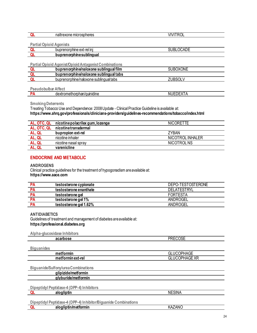| <br>----<br>nalti<br>Λc<br>nici<br>חבמת<br>ne<br>exone :<br>סטווסופט י | $- - - -$<br>.<br>$\mathbf{u}$ |
|------------------------------------------------------------------------|--------------------------------|
|                                                                        |                                |

**Partial Opioid Agonists**

| .<br>'phine ext-rel ini<br>buprenor | $\sim$ $\sim$ $\sim$ $\sim$<br>∼∟ |
|-------------------------------------|-----------------------------------|
| buprenorphine sublingual            |                                   |

#### **Partial Opioid Agonist/Opioid Antagonist Combinations**

| buprenorphine/naloxone sublingual film | <b>CXONE</b><br>JUBU. |  |
|----------------------------------------|-----------------------|--|
| buprenorphine/naloxone sublingual tabs |                       |  |
| buprenorphine/naloxone sublingual tabs |                       |  |

**Pseudobulbar Affect**

| ---------------------- |                           |                      |
|------------------------|---------------------------|----------------------|
|                        | extromethorphan/quinidine | $-1$ $-1$<br>N<br>., |
|                        |                           |                      |

**Smoking Deterrents**

Treating Tobacco Use and Dependence: 2008 Update - Clinical Practice Guideline is available at: **https://www.ahrq.gov/professionals/clinicians-providers/guidelines-recommendations/tobacco/index.html**

| AL, OTC, QL | nicotine polacrilex gum, lozenge | <b>NICORETTE</b> |
|-------------|----------------------------------|------------------|
| AL, OTC, QL | nicotinetransdermal              |                  |
| AL, QL      | bupropion ext-rel                | <b>ZYBAN</b>     |
| AL, QL      | nicotine inhaler                 | NICOTROL INHALER |
| AL, QL      | nicotine nasal spray             | NICOTROL NS      |
|             | varenicline                      |                  |

#### <span id="page-24-0"></span>**ENDOCRINE AND METABOLIC**

#### <span id="page-24-1"></span>**ANDROGENS**

Clinical practice guidelines for the treatment of hypogonadism are available at: **https://www.aace.com**

| <b>PA</b> | testosterone cypionate | DEPO-TESTOSTERONE  |
|-----------|------------------------|--------------------|
| <b>PA</b> | testosterone enanthate | <b>DELATESTRYL</b> |
| <b>PA</b> | testosterone gel       | <b>FORTESTA</b>    |
| <b>PA</b> | testosterone gel 1%    | ANDROGEL           |
| <b>PA</b> | testosterone gel 1.62% | ANDROGEL           |

#### <span id="page-24-2"></span>**ANTIDIABETICS**

Guidelines of treatment and management of diabetes are available at: **https://professional.diabetes.org**

**Alpha-glucosidase Inhibitors**

| $\mathbf{v}$ , $\mathbf{v}$ , $\mathbf{v}$ , $\mathbf{v}$ , $\mathbf{v}$ , $\mathbf{v}$ , $\mathbf{v}$ , $\mathbf{v}$ , $\mathbf{v}$ , $\mathbf{v}$ , $\mathbf{v}$ |                          |
|--------------------------------------------------------------------------------------------------------------------------------------------------------------------|--------------------------|
| acarbose                                                                                                                                                           | <b>DDECOCE</b><br>า∟∪∪ง∟ |
|                                                                                                                                                                    |                          |

**Biguanides**

| metformin         |  |
|-------------------|--|
| metformin ext-rel |  |

**Biguanide/Sulfonylurea Combinations**

**glipizide/metformin**

**glyburide/metformin**

**Dipeptidyl Peptidase-4 (DPP-4) Inhibitors**

**QL alogliptin** NESINA

**Dipeptidyl Peptidase-4 (DPP-4) Inhibitor/Biguanide Combinations**

| alogliptin/metformin | KAZ.<br>′AN∪ |
|----------------------|--------------|
|                      |              |

**metformin** GLUCOPHAGE **GLUCOPHAGE XR**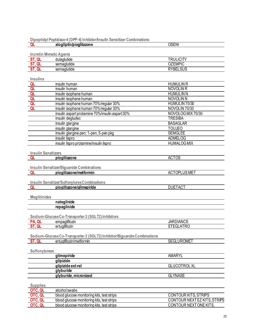#### **Dipeptidyl Peptidase-4 (DPP-4) Inhibitor/Insulin Sensitizer Combinations**

|                                | Proprieti Chinese TDTI 7 IIIIIINICI/IIIIOHIII CONSIGECI CONNINGUOI<br>alogliptin/pioglitazone | <b>OSENI</b>                |
|--------------------------------|-----------------------------------------------------------------------------------------------|-----------------------------|
|                                |                                                                                               |                             |
| <b>Incretin Mimetic Agents</b> |                                                                                               |                             |
| ST, QL                         | dulaglutide                                                                                   | <b>TRULICITY</b>            |
| ST, QL                         | semaglutide                                                                                   | <b>OZEMPIC</b>              |
| ST, QL                         | semaglutide                                                                                   | <b>RYBELSUS</b>             |
|                                |                                                                                               |                             |
| Insulins                       |                                                                                               |                             |
| QL                             | insulin human                                                                                 | <b>HUMULIN R</b>            |
| QL                             | insulin human                                                                                 | <b>NOVOLIN R</b>            |
| QL                             | insulin isophane human                                                                        | <b>HUMULIN N</b>            |
| QL                             | insulin isophane human                                                                        | <b>NOVOLIN N</b>            |
| QL                             | insulin isophane human 70%/regular 30%                                                        | HUMULIN 70/30               |
| QL                             | insulin isophane human 70%/regular 30%                                                        | NOVOLIN 70/30               |
|                                | insulin aspart protamine 70%/insulin aspart 30%                                               | NOVOLOG MIX 70/30           |
|                                | insulin degludec                                                                              | <b>TRESIBA</b>              |
|                                | insulin glargine                                                                              | <b>BASAGLAR</b>             |
|                                | insulin glargine                                                                              | <b>TOUJEO</b>               |
|                                | insulin glargine pen; 1-pen, 5-pen pkg                                                        | <b>SEMGLEE</b>              |
|                                | insulin lispro                                                                                | <b>ADMELOG</b>              |
|                                | insulin lispro protamine/insulin lispro                                                       | <b>HUMALOG MIX</b>          |
|                                |                                                                                               |                             |
| <b>Insulin Sensitizers</b>     |                                                                                               |                             |
| QL                             | pioglitazone                                                                                  | <b>ACTOS</b>                |
|                                | Insulin Sensitizer/Biguanide Combinations                                                     |                             |
| QL                             | pioglitazone/metformin                                                                        | <b>ACTOPLUS MET</b>         |
|                                |                                                                                               |                             |
|                                | Insulin Sensitizer/Sulfonylurea Combinations                                                  |                             |
| QL                             | pioglitazone/glimepiride                                                                      | <b>DUETACT</b>              |
|                                |                                                                                               |                             |
| <b>Meglitinides</b>            |                                                                                               |                             |
|                                | nateglinide                                                                                   |                             |
|                                | repaglinide                                                                                   |                             |
|                                |                                                                                               |                             |
|                                | Sodium-Glucose Co-Transporter 2 (SGLT2) Inhibitors                                            |                             |
| PA, QL                         | empagliflozin                                                                                 | <b>JARDIANCE</b>            |
| ST, QL                         | ertugliflozin                                                                                 | <b>STEGLATRO</b>            |
|                                |                                                                                               |                             |
|                                | Sodium-Glucose Co-Transporter 2 (SGLT2) Inhibitor/Biguanide Combinations                      |                             |
| ST, QL                         | ertualiflozin/metformin                                                                       | <b>SEGLUROMET</b>           |
|                                |                                                                                               |                             |
| <b>Sulfonylureas</b>           |                                                                                               |                             |
|                                | glimepiride                                                                                   | AMARYL                      |
|                                | glipizide                                                                                     |                             |
|                                | glipizide ext-rel                                                                             | <b>GLUCOTROL XL</b>         |
|                                | glyburide                                                                                     |                             |
|                                | glyburide, micronized                                                                         | <b>GLYNASE</b>              |
|                                |                                                                                               |                             |
| <b>Supplies</b>                |                                                                                               |                             |
| OTC, QL                        | alcohol swabs                                                                                 |                             |
| OTC, QL                        | blood glucose monitoring kits, test strips                                                    | <b>CONTOUR KITS, STRIPS</b> |
| OTC, QL                        | blood glucose monitoring kits, test strips                                                    | CONTOUR NEXTEZ KITS, STRIPS |
| OTC, QL                        | blood glucose monitoring kits, test strips                                                    | CONTOUR NEXTONE KITS,       |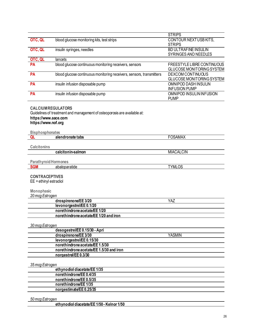<span id="page-26-1"></span><span id="page-26-0"></span>

|                                                                                    |                                                                                                      | <b>STRIPS</b>                                           |
|------------------------------------------------------------------------------------|------------------------------------------------------------------------------------------------------|---------------------------------------------------------|
| OTC, QL                                                                            | blood glucose monitoring kits, test strips                                                           | CONTOUR NEXTUSB KITS,<br><b>STRIPS</b>                  |
| OTC, QL                                                                            | insulin syringes, needles                                                                            | <b>BD ULTRAFINE INSULIN</b><br>SYRINGES AND NEEDLES     |
| OTC, QL                                                                            | lancets                                                                                              |                                                         |
| <b>PA</b>                                                                          | blood glucose continuous monitoring receivers, sensors                                               | FREESTYLE LIBRE CONTINUOUS<br>GLUCOSE MONITORING SYSTEM |
| PA                                                                                 | blood glucose continuous monitoring receivers, sensors, transmitters                                 | DEXCOM CONTINUOUS<br>GLUCOSE MONITORING SYSTEM          |
| PA                                                                                 | insulin infusion disposable pump                                                                     | OMNIPOD DASH INSULIN<br><b>INFUSION PUMP</b>            |
| PA                                                                                 | insulin infusion disposable pump                                                                     | OMNIPOD INSULIN INFUSION<br><b>PUMP</b>                 |
| https://www.aace.com<br>https://www.nof.org                                        | <b>CALCIUMREGULATORS</b><br>Guidelines of treatment and management of osteoporosis are available at: |                                                         |
| <b>Bisphosphonates</b>                                                             |                                                                                                      |                                                         |
| QL                                                                                 | alendronate tabs                                                                                     | <b>FOSAMAX</b>                                          |
| <b>Calcitonins</b>                                                                 |                                                                                                      |                                                         |
|                                                                                    | calcitonin-salmon                                                                                    | <b>MIACALCIN</b>                                        |
|                                                                                    |                                                                                                      |                                                         |
| <b>Parathyroid Hormones</b>                                                        |                                                                                                      |                                                         |
| <b>SGM</b>                                                                         | abaloparatide                                                                                        | <b>TYMLOS</b>                                           |
| <b>CONTRACEPTIVES</b><br>$EE =$ ethinyl estradiol<br>Monophasic<br>20 mcg Estrogen |                                                                                                      |                                                         |
|                                                                                    | drospirenone/EE 3/20                                                                                 | YAZ                                                     |
|                                                                                    | levonorgestrel/EE0.1/20                                                                              |                                                         |
|                                                                                    | norethindrone acetate/EE 1/20                                                                        |                                                         |
|                                                                                    | norethindrone acetate/EE 1/20 and iron                                                               |                                                         |
|                                                                                    |                                                                                                      |                                                         |
| 30 mcg Estrogen                                                                    |                                                                                                      |                                                         |
|                                                                                    | desogestrel/EE 0.15/30 - Apri<br>drospirenone/EE 3/30                                                | <b>YASMIN</b>                                           |
|                                                                                    | levonorgestrel/EE0.15/30                                                                             |                                                         |
|                                                                                    | norethindrone acetate/EE 1.5/30                                                                      |                                                         |
|                                                                                    | norethindrone acetate/EE 1.5/30 and iron                                                             |                                                         |
|                                                                                    | norgestrel/EE0.3/30                                                                                  |                                                         |
|                                                                                    |                                                                                                      |                                                         |
| 35 mcg Estrogen                                                                    |                                                                                                      |                                                         |
|                                                                                    | ethynodiol diacetate/EE 1/35                                                                         |                                                         |
|                                                                                    | norethindrone/EE 0.4/35                                                                              |                                                         |
|                                                                                    | norethindrone/EE 0.5/35                                                                              |                                                         |
|                                                                                    | norethindrone/EE 1/35                                                                                |                                                         |
|                                                                                    | norgestimate/EE 0.25/35                                                                              |                                                         |
| 50 mcg Estrogen                                                                    |                                                                                                      |                                                         |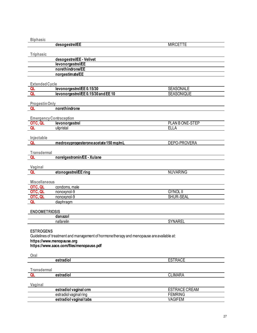<span id="page-27-1"></span><span id="page-27-0"></span>

| <b>Biphasic</b>                |                                                                                           |                                 |
|--------------------------------|-------------------------------------------------------------------------------------------|---------------------------------|
|                                | desogestrel/EE                                                                            | <b>MIRCETTE</b>                 |
|                                |                                                                                           |                                 |
| Triphasic                      |                                                                                           |                                 |
|                                | desogestrel/EE - Velivet                                                                  |                                 |
|                                | levonorgestrel/EE                                                                         |                                 |
|                                | norethindrone/EE                                                                          |                                 |
|                                | norgestimate/EE                                                                           |                                 |
|                                |                                                                                           |                                 |
| Extended Cycle                 |                                                                                           |                                 |
| QL                             | levonorgestrel/EE 0.15/30                                                                 | <b>SEASONALE</b>                |
| QL                             | levonorgestrel/EE0.15/30 and EE10                                                         | <b>SEASONIQUE</b>               |
|                                |                                                                                           |                                 |
| <b>Progestin Only</b>          |                                                                                           |                                 |
| QL                             | norethindrone                                                                             |                                 |
|                                |                                                                                           |                                 |
| <b>Emergency Contraception</b> |                                                                                           |                                 |
| OTC, QL                        | levonorgestrel                                                                            | PLAN BONE-STEP                  |
| QL                             | ulipristal                                                                                | <b>ELLA</b>                     |
| Injectable                     |                                                                                           |                                 |
| QL                             | medroxyprogesterone acetate 150 mg/mL                                                     | DEPO-PROVERA                    |
|                                |                                                                                           |                                 |
| <b>Transdermal</b>             |                                                                                           |                                 |
| QL                             | norelgestromin/EE - Xulane                                                                |                                 |
|                                |                                                                                           |                                 |
| Vaginal                        |                                                                                           |                                 |
| QL                             | etonogestrel/EE ring                                                                      | <b>NUVARING</b>                 |
|                                |                                                                                           |                                 |
| <b>Miscellaneous</b>           |                                                                                           |                                 |
| OTC, QL                        | condoms, male                                                                             |                                 |
| OTC, QL                        | nonoxynol-9                                                                               | <b>GYNOL II</b>                 |
| OTC, QL                        | nonoxynol-9                                                                               | SHUR-SEAL                       |
| ΩL                             | diaphragm                                                                                 |                                 |
|                                |                                                                                           |                                 |
| <b>ENDOMETRIOSIS</b>           |                                                                                           |                                 |
|                                | danazol                                                                                   |                                 |
|                                | nafarelin                                                                                 | <b>SYNAREL</b>                  |
|                                |                                                                                           |                                 |
| <b>ESTROGENS</b>               |                                                                                           |                                 |
|                                | Guidelines of treatment and management of hormone therapy and menopause are available at: |                                 |
|                                | https://www.menopause.org                                                                 |                                 |
|                                | https://www.aace.com/files/menopause.pdf                                                  |                                 |
|                                |                                                                                           |                                 |
| Oral                           |                                                                                           |                                 |
|                                | estradiol                                                                                 | <b>ESTRACE</b>                  |
| <b>Transdermal</b>             |                                                                                           |                                 |
|                                |                                                                                           |                                 |
| QL                             | estradiol                                                                                 | <b>CLIMARA</b>                  |
|                                |                                                                                           |                                 |
| Vaginal                        |                                                                                           |                                 |
|                                | estradiol vaginal crm                                                                     | ESTRACE CREAM<br><b>FEMRING</b> |
|                                | estradiol vaginal ring                                                                    | <b>VAGIFEM</b>                  |
|                                | estradiol vaginal tabs                                                                    |                                 |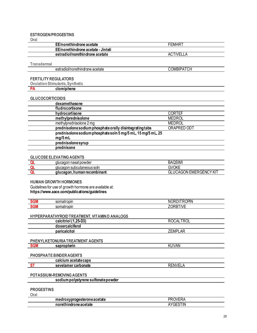#### <span id="page-28-0"></span>**ESTROGEN/PROGESTINS**

Oral

| FEMHR        |
|--------------|
|              |
| TIVEI<br>AC. |
|              |

**Transdermal** 

estradiol/norethindrone acetate

**COMBIPATCH** 

#### <span id="page-28-1"></span>**FERTILITY REGULATORS**

**Ovulation Stimulants, Synthetic** 

clomiphene **PA** 

#### <span id="page-28-2"></span>**GLUCOCORTICOIDS**

| dexamethasone                                                          |               |  |
|------------------------------------------------------------------------|---------------|--|
| fludrocortisone                                                        |               |  |
| hydrocortisone                                                         | <b>CORTEF</b> |  |
| methylprednisolone                                                     | <b>MEDROL</b> |  |
| methylprednisolone 2 mg                                                | <b>MEDROL</b> |  |
| prednisolone sodium phosphate orally disintegrating tabs               | ORAPRED ODT   |  |
| prednisolone sodium phosphate soln 5 mg/5 mL, 15 mg/5 mL, 25<br>mg/5mL |               |  |
| prednisolonesyrup                                                      |               |  |
| prednisone                                                             |               |  |

#### <span id="page-28-3"></span>**GLUCOSE ELEVATING AGENTS**

| glucagon nasal powder       | <b>BAQSIM</b>                            |
|-----------------------------|------------------------------------------|
| glucagon subcutaneous soln  | GVOKE                                    |
| glucagon, human recombinant | <b>I EMERGENCY KIT</b><br>.CAGON ⊑<br>uL |

#### <span id="page-28-4"></span>**HUMAN GROWTH HORMONES**

Guidelines for use of growth hormone are available at: https://www.aace.com/publications/guidelines

| . .<br>ым<br>   | somatı<br>iatropin | OPIN.<br>$-$<br>ж<br>W.              |
|-----------------|--------------------|--------------------------------------|
| . .<br>ann<br>. | atropin<br>somat   | $\overline{\phantom{a}}$<br>.<br>- - |

#### <span id="page-28-5"></span>HYPERPARATHYROID TREATMENT, VITAMIND ANALOGS

| calcitriol (1,25-D3)             | <b>ROCALTROL</b> |  |
|----------------------------------|------------------|--|
| doxercalciferol                  |                  |  |
| paricalcitol                     | <b>ZEMPLAR</b>   |  |
|                                  |                  |  |
| PHENYLKETONURIA TREATMENT AGENTS |                  |  |
| <b>SGM</b><br>sapropterin        | KUVAN            |  |
|                                  |                  |  |

#### <span id="page-28-7"></span><span id="page-28-6"></span>PHOSPHATE BINDER AGENTS

| ^^<br>----<br>.<br>$- - -$<br>м. ш.<br>aur     |                          |
|------------------------------------------------|--------------------------|
| sevelamer carbonets<br>onate<br>っせい<br>' vai v | ″–<br>' IN V<br>╲∟<br>-- |
|                                                |                          |

#### <span id="page-28-8"></span>POTASSIUM-REMOVING AGENTS

sodium polystyrene sulfonate powder

#### <span id="page-28-9"></span>**PROGESTINS**

Oral

| medroxyprogesterone acetate | OVFR.<br>PR∪<br>$\mathbf{v}$ |
|-----------------------------|------------------------------|
| norethindrone acetate       | <b>YGESTIN</b>               |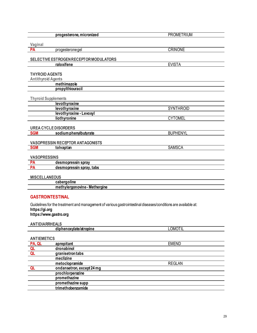<span id="page-29-4"></span><span id="page-29-3"></span><span id="page-29-2"></span><span id="page-29-1"></span><span id="page-29-0"></span>

| progesterone, micronized                                                                                      | <b>PROMETRIUM</b> |
|---------------------------------------------------------------------------------------------------------------|-------------------|
|                                                                                                               |                   |
| Vaginal                                                                                                       |                   |
| PA<br>progesteronegel                                                                                         | <b>CRINONE</b>    |
|                                                                                                               |                   |
| SELECTIVE ESTROGEN RECEPTOR MODULATORS                                                                        |                   |
| raloxifene                                                                                                    | <b>EVISTA</b>     |
| <b>THYROID AGENTS</b>                                                                                         |                   |
| <b>Antithyroid Agents</b>                                                                                     |                   |
| methimazole                                                                                                   |                   |
| propylthiouracil                                                                                              |                   |
|                                                                                                               |                   |
| <b>Thyroid Supplements</b>                                                                                    |                   |
| levothyroxine                                                                                                 |                   |
| levothyroxine                                                                                                 | SYNTHROID         |
| levothyroxine - Levoxyl                                                                                       |                   |
| liothyronine                                                                                                  | <b>CYTOMEL</b>    |
|                                                                                                               |                   |
| <b>UREA CYCLE DISORDERS</b>                                                                                   |                   |
| <b>SGM</b><br>sodium phenylbutyrate                                                                           | <b>BUPHENYL</b>   |
| <b>VASOPRESSIN RECEPTOR ANTAGONISTS</b>                                                                       |                   |
| <b>SGM</b><br>tolvaptan                                                                                       | <b>SAMSCA</b>     |
|                                                                                                               |                   |
| <b>VASOPRESSINS</b>                                                                                           |                   |
| <b>PA</b><br>desmopressin spray                                                                               |                   |
| PA<br>desmopressin spray, tabs                                                                                |                   |
|                                                                                                               |                   |
| <b>MISCELLANEOUS</b>                                                                                          |                   |
| cabergoline                                                                                                   |                   |
| methylergonovine - Methergine                                                                                 |                   |
|                                                                                                               |                   |
| <b>GASTROINTESTINAL</b>                                                                                       |                   |
| Guidelines for the treatment and management of various gastrointestinal diseases/conditions are available at: |                   |
| https://gi.org                                                                                                |                   |
| https://www.gastro.org                                                                                        |                   |
|                                                                                                               |                   |
| <b>ANTIDIARRHEALS</b>                                                                                         |                   |
| diphenoxylate/atropine                                                                                        | <b>LOMOTIL</b>    |
|                                                                                                               |                   |
| <b>ANTIEMETICS</b>                                                                                            |                   |
| PA, QL<br>aprepitant                                                                                          | <b>EMEND</b>      |
| dronabinol<br>QL<br>Q <sub>L</sub>                                                                            |                   |
| granisetrontabs<br>meclizine                                                                                  |                   |
| metoclopramide                                                                                                | <b>REGLAN</b>     |
| ondansetron, except 24 mg<br>QL                                                                               |                   |
| prochlorperazine                                                                                              |                   |
| promethazine                                                                                                  |                   |
| promethazine supp                                                                                             |                   |

<span id="page-29-8"></span><span id="page-29-7"></span><span id="page-29-6"></span><span id="page-29-5"></span>**trimethobenzamide**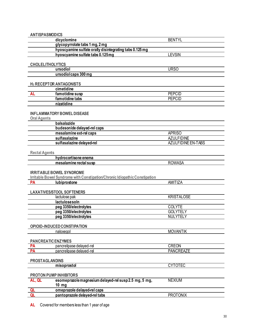<span id="page-30-3"></span><span id="page-30-2"></span><span id="page-30-1"></span><span id="page-30-0"></span>

| <b>ANTISPASMODICS</b>                                                                                         |                           |
|---------------------------------------------------------------------------------------------------------------|---------------------------|
| dicyclomine                                                                                                   | <b>BENTYL</b>             |
| glycopyrrolate tabs 1 mg, 2 mg                                                                                |                           |
| hyoscyamine sulfate orally disintegrating tabs 0.125 mg                                                       |                           |
| hyoscyamine sulfate tabs 0.125mg                                                                              | <b>LEVSIN</b>             |
|                                                                                                               |                           |
| <b>CHOLELITHOLYTICS</b>                                                                                       |                           |
| ursodiol                                                                                                      | <b>URSO</b>               |
| ursodiolcaps 300 mg                                                                                           |                           |
|                                                                                                               |                           |
| <b>H<sub>2</sub> RECEPTOR ANTAGONISTS</b>                                                                     |                           |
| cimetidine                                                                                                    |                           |
| famotidine susp<br><b>AL</b>                                                                                  | <b>PEPCID</b>             |
| famotidine tabs                                                                                               | <b>PEPCID</b>             |
| nizatidine                                                                                                    |                           |
| <b>INFLAMMATORY BOWEL DISEASE</b><br><b>Oral Agents</b>                                                       |                           |
| balsalazide                                                                                                   |                           |
| budesonide delayed-rel caps                                                                                   |                           |
| mesalamine ext-rel caps                                                                                       | <b>APRISO</b>             |
| sulfasalazine                                                                                                 | <b>AZULFIDINE</b>         |
| sulfasalazine delayed-rel                                                                                     | <b>AZULFIDINE EN-TABS</b> |
| <b>Rectal Agents</b>                                                                                          |                           |
| hydrocortisone enema                                                                                          |                           |
| mesalamine rectal susp                                                                                        | <b>ROWASA</b>             |
| <b>IRRITABLE BOWEL SYNDROME</b><br>Irritable Bowel Syndrome with Constipation/Chronic Idiopathic Constipation |                           |
| lubiprostone<br><b>PA</b>                                                                                     | AMITIZA                   |
|                                                                                                               |                           |
| <b>LAXATIVES/STOOL SOFTENERS</b>                                                                              |                           |
| lactulose pak                                                                                                 | <b>KRISTALOSE</b>         |
| lactulosesoln                                                                                                 |                           |
| peg 3350/electrolytes                                                                                         | <b>COLYTE</b>             |
| peg 3350/electrolytes                                                                                         | <b>GOLYTELY</b>           |
| peg 3350/electrolytes                                                                                         | NULYTELY                  |
|                                                                                                               |                           |
| OPIOID-INDUCED CONSTIPATION                                                                                   |                           |
| naloxegol                                                                                                     | <b>MOVANTIK</b>           |
| <b>PANCREATICENZYMES</b>                                                                                      |                           |
| pancrelipase delayed-rel<br><b>PA</b>                                                                         | <b>CREON</b>              |
| PA<br>pancrelipase delayed-rel                                                                                | <b>PANCREAZE</b>          |
|                                                                                                               |                           |
| <b>PROSTAGLANDINS</b><br>misoprostol                                                                          | <b>CYTOTEC</b>            |
|                                                                                                               |                           |
| <b>PROTON PUMP INHIBITORS</b>                                                                                 |                           |
| esomeprazole magnesium delayed-rel susp 2.5 mg, 5 mg,<br>AL, QL<br>$10$ mg                                    | <b>NEXIUM</b>             |
| QL<br>omeprazole delayed-rel caps                                                                             |                           |
| pantoprazole delayed-rel tabs<br>QL                                                                           | <b>PROTONIX</b>           |

<span id="page-30-9"></span><span id="page-30-8"></span><span id="page-30-7"></span><span id="page-30-6"></span><span id="page-30-5"></span><span id="page-30-4"></span>**AL** Covered for members less than 1 year of age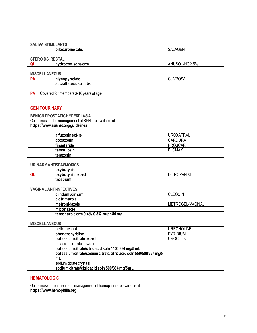#### <span id="page-31-0"></span>**SALIVA STIMULANTS**

pilocarpine tabs

#### <span id="page-31-1"></span>**STEROIDS, RECTAL**

hydrocortisone crm QL

<span id="page-31-2"></span>**MISCELLANEOUS** 

| D/ | qlycopyrrolate         | י<br>JUVK<br>'UJA |
|----|------------------------|-------------------|
|    | sucral tate susp, tabs |                   |

SALAGEN

ANUSOL-HC2.5%

PA Covered for members 3-16 years of age

#### <span id="page-31-3"></span>**GENITOURINARY**

<span id="page-31-4"></span>**BENIGN PROSTATIC HYPERPLASIA** Guidelines for the management of BPH are available at: https://www.auanet.org/guidelines

<span id="page-31-6"></span><span id="page-31-5"></span>

|                      | alfuzosinext-rel                                                   | <b>UROXATRAL</b>   |
|----------------------|--------------------------------------------------------------------|--------------------|
|                      | doxazosin                                                          | <b>CARDURA</b>     |
|                      | finasteride                                                        | <b>PROSCAR</b>     |
|                      | tamsulosin                                                         | <b>FLOMAX</b>      |
|                      | terazosin                                                          |                    |
|                      |                                                                    |                    |
|                      | <b>URINARY ANTISPASMODICS</b>                                      |                    |
|                      | oxybutynin                                                         | <b>DITROPAN XL</b> |
| QL                   | oxybutynin ext-rel                                                 |                    |
|                      | trospium                                                           |                    |
|                      | <b>VAGINAL ANTI-INFECTIVES</b>                                     |                    |
|                      | clindamycin crm                                                    | <b>CLEOCIN</b>     |
|                      | clotrimazole                                                       |                    |
|                      | metronidazole                                                      | METROGEL-VAGINAL   |
|                      | miconazole                                                         |                    |
|                      | terconazole crm 0.4%, 0.8%, supp 80 mg                             |                    |
| <b>MISCELLANEOUS</b> |                                                                    |                    |
|                      | bethanechol                                                        | <b>URECHOLINE</b>  |
|                      | phenazopyridine                                                    | <b>PYRIDIUM</b>    |
|                      | potassium citrate ext-rel                                          | <b>UROCIT-K</b>    |
|                      | potassium citrate powder                                           |                    |
|                      | potassium citrate/citric acid soln 1100/334 mg/5 mL                |                    |
|                      | potassium citrate/sodium citrate/citric acid soln 550/500/334 mg/5 |                    |
|                      | mL                                                                 |                    |
|                      | sodium citrate crystals                                            |                    |
|                      | sodium citrate/citric acid soln 500/334 mg/5mL                     |                    |

#### <span id="page-31-8"></span><span id="page-31-7"></span>**HEMATOLOGIC**

Guidelines of treatment and management of hemophilia are available at: https://www.hemophilia.org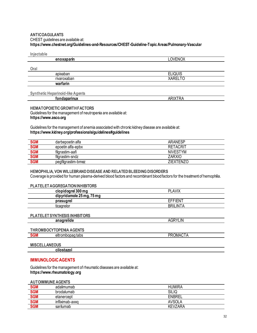#### <span id="page-32-0"></span>**ANTICOAGULANTS** CHEST guidelines are available at: https://www.chestnet.org/Guidelines-and-Resources/CHEST-Guideline-Topic Areas/Pulmonary-Vascular

| Injectable                              |                |
|-----------------------------------------|----------------|
| enoxaparin                              | <b>LOVENOX</b> |
|                                         |                |
| Oral                                    |                |
| apixaban                                | <b>ELIQUIS</b> |
| rivaroxaban                             | <b>XARELTO</b> |
| warfarin                                |                |
|                                         |                |
| <b>Synthetic Heparinoid-like Agents</b> |                |
| fondaparinux                            | <b>ARIXTRA</b> |
|                                         |                |

#### <span id="page-32-1"></span>**HEMATOPOIETIC GROWTH FACTORS**

Guidelines for the management of neutropenia are available at: https://www.asco.org

Guidelines for the management of anemia associated with chronic kidney disease are available at: https://www.kidney.org/professionals/guidelines#guidelines

| <b>SGM</b> | darbepoetin alfa   | ARANESP          |
|------------|--------------------|------------------|
| <b>SGM</b> | epoetin alfa-epbx  | RETACRIT         |
| SGM<br>SGM | filgrastim-aafi    | <b>NIVESTYM</b>  |
|            | filarastim-sndz    | ZARXIO           |
| <b>SGM</b> | pegfilgrastim-bmez | <b>ZIEXTENZO</b> |

#### <span id="page-32-2"></span>HEMOPHILIA, VON WILLEBRAND DISEASE AND RELATED BLEEDING DISORDERS Coverage is provided for human plasma-derived blood factors and recombinant blood factors for the treatment of hemophilia.

#### <span id="page-32-3"></span>**PI ATFI FT AGGREGATION INHIRITORS**

<span id="page-32-4"></span>

| ▁▄ <del>▁</del> ▖▁▄▄▃▁▗▚❤❤▎░▃ਯ <sub>ਾ</sub> ░▖▖▏▎ <sub>▘</sub> ▏▏▏▏▏▏▏▏▏▏ |                 |
|---------------------------------------------------------------------------|-----------------|
| clopidogrel 300 mg                                                        | <b>PLAVIX</b>   |
| dipyridamole 25 mg, 75 mg                                                 |                 |
| prasugrel                                                                 | <b>EFFIENT</b>  |
| ticagrelor                                                                | <b>BRILINTA</b> |
| PLATELET SYNTHESIS INHIBITORS<br>anagrelide                               | <b>AGRYLIN</b>  |
| <b>THROMBOCYTOPENIA AGENTS</b>                                            |                 |
| <b>SGM</b><br>eltrombopag tabs                                            | <b>PROMACTA</b> |
|                                                                           |                 |

#### <span id="page-32-6"></span><span id="page-32-5"></span>**MISCELLANEOUS** cilostazol

#### <span id="page-32-7"></span>**IMMUNOLOGIC AGENTS**

Guidelines for the management of rheumatic diseases are available at: https://www.rheumatology.org

#### <span id="page-32-8"></span>**AUTOIMMUNE AGENTS**

| <b>SGM</b>        | adalimumab      | <b>HUMIRA</b>  |
|-------------------|-----------------|----------------|
| <b>SGM</b>        | brodalumab      | SILIQ          |
| <b>SGM</b>        | etanercept      | <b>ENBREL</b>  |
| <b>SGM</b><br>SGM | infliximab-axxg | <b>AVSOLA</b>  |
|                   | sarilumab       | <b>KEVZARA</b> |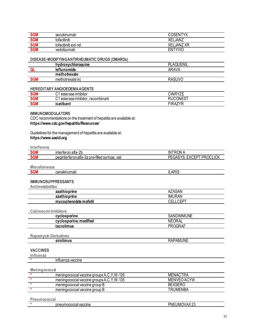| <b>SGM</b> | secukinumab         | ιπ∨ν<br>ገSFN<br>$\lambda$        |
|------------|---------------------|----------------------------------|
| <b>SGM</b> | tofacitinib         | <b>JANZ</b><br>XEL               |
| <b>SGM</b> | tofacitinib ext-rel | vn<br>XEL<br>™JAN∠.<br>$\Lambda$ |
| <b>SGM</b> | vedolizumab         | tyvio<br>EN.                     |

#### <span id="page-33-0"></span>DISEASE-MODIFYING ANTIRHEUMATIC DRUGS (DMARDs)

|            | hydroxychloroquine | PLAQUENIL |
|------------|--------------------|-----------|
|            | <b>leflunomide</b> | ARAVA     |
|            | methotrexate       |           |
| <b>SGM</b> | methotrexate in    | RASUVO    |

#### <span id="page-33-1"></span>**HEREDITARY ANGIOEDEMA AGENTS**

| <b>SGM</b> | .<br>ົ<br>esterase inhibitor                       | <b>CINRYZE</b>                         |
|------------|----------------------------------------------------|----------------------------------------|
| <b>SGM</b> | <br>. .<br>ົ<br>recombinant<br>esterase inhibitor. | 0.011007<br>או                         |
| <b>SGM</b> | icatibant                                          | TIRA<br>$\Lambda$ 7 $\vee$ E<br>$\sim$ |

#### <span id="page-33-2"></span>**IMMUNOMODULATORS**

CDC recommendations on the treatment of hepatitis are available at: https://www.cdc.gov/hepatitis/Resources/

Guidelines for the management of hepatitis are available at: https://www.aasld.org

<span id="page-33-3"></span>

| Interferons            |                                                |                          |
|------------------------|------------------------------------------------|--------------------------|
| <b>SGM</b>             | interferon alfa-2b                             | <b>INTRONA</b>           |
| <b>SGM</b>             | peginterferon alfa-2a pre-filled syringe, vial | PEGASYS, EXCEPT PROCLICK |
|                        |                                                |                          |
| <b>Miscellaneous</b>   |                                                |                          |
| <b>SGM</b>             | canakinumab                                    | <b>ILARIS</b>            |
|                        | <b>IMMUNOSUPPRESSANTS</b>                      |                          |
| <b>Antimetabolites</b> |                                                |                          |
|                        | azathioprine                                   | <b>AZASAN</b>            |
|                        | azathioprine                                   | <b>IMURAN</b>            |
|                        | mycophenolate mofetil                          | <b>CELLCEPT</b>          |
|                        |                                                |                          |
|                        | <b>Calcineurin Inhibitors</b>                  |                          |
|                        | cyclosporine                                   | <b>SANDIMMUNE</b>        |
|                        | cyclosporine, modified                         | <b>NEORAL</b>            |
|                        | tacrolimus                                     | <b>PROGRAF</b>           |
|                        |                                                |                          |
|                        | <b>Rapamycin Derivatives</b>                   |                          |
|                        | sirolimus                                      | <b>RAPAMUNE</b>          |
|                        |                                                |                          |
| <b>VACCINES</b>        |                                                |                          |
| Influenza              | influenza vaccine                              |                          |
|                        |                                                |                          |
| Meningococcal          |                                                |                          |
| $\star$                | meningococcal vaccine groups A,C,Y,W-135       | <b>MENACTRA</b>          |
| $\ast$                 | meningococcal vaccine groups A,C,Y,W-135       | MENVEO ACYW              |
| $\star$                | meningococcal vaccine group B                  | <b>BEXSERO</b>           |
| $\ast$                 | meningococcal vaccine group B                  | <b>TRUMENBA</b>          |
| Pneumococcal           |                                                |                          |

<span id="page-33-4"></span> $\star$ pneumococcal vaccine PNEUMOVAX 23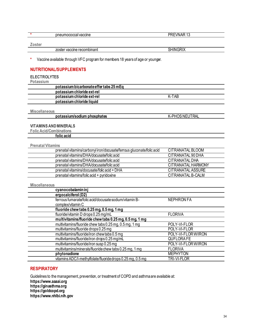| nr<br>rrrr<br>ane<br>$10 - 11$<br>$\overline{r}$ | _<br>זר |
|--------------------------------------------------|---------|
|                                                  |         |

#### **Zoster**

zoster vaccine recombinant SHINGRIX

**\*** Vaccine available through VFC program for members 18 years of age or younger.

#### <span id="page-34-0"></span>**NUTRITIONAL/SUPPLEMENTS**

#### <span id="page-34-1"></span>**ELECTROLYTES**

**Potassium**

| 1 <b>VLUVVIMIII</b> |                                         |       |  |
|---------------------|-----------------------------------------|-------|--|
|                     | potassium bicarbonate effer tabs 25 mEq |       |  |
|                     | potassium chloride ext-rel              |       |  |
|                     | potassium chloride ext-rel              | K-TAB |  |
|                     | potassium chloride liquid               |       |  |
|                     |                                         |       |  |

**Miscellaneous**

**potassium/sodium phosphates** K-PHOS NEUTRAL

#### <span id="page-34-2"></span>**VITAMINS AND MINERALS**

**Folic Acid/Combinations**

**folic acid**

#### **Prenatal Vitamins**

| prenatal vitamins/carbonyl iron/docusate/ferrous gluconate/folic acid | CITRANATAL BLOOM   |
|-----------------------------------------------------------------------|--------------------|
| prenatal vitamins/DHA/docusate/folic acid                             | CITRANATAL 90 DHA  |
| prenatal vitamins/DHA/docusate/folic acid                             | CITRANATAL DHA     |
| prenatal vitamins/DHA/docusate/folic acid                             | CITRANATAL HARMONY |
| prenatal vitamins/docusate/folic acid + DHA                           | CITRANATAL ASSURE  |
| prenatal vitamins/folic acid + pyridoxine                             | CITRANATAL B-CALM  |

#### **Miscellaneous**

| cyanocobalamin inj                                         |                    |
|------------------------------------------------------------|--------------------|
| ergocalciferol (D2)                                        |                    |
| ferrous fumarate/folic acid/docusate sodium/vitamin B-     | <b>NEPHRON FA</b>  |
| complex/vitamin C                                          |                    |
| fluoride chew tabs 0.25 mg, 0.5 mg, 1 mg                   |                    |
| fluoride/vitamin D drops 0.25 mg/mL                        | <b>FLORIVA</b>     |
| multivitamins/fluoride chew tabs 0.25 mg, 0.5 mg, 1 mg     |                    |
| multivitamins/fluoride chew tabs 0.25 mg, 0.5 mg, 1 mg     | POLY-VI-FLOR       |
| multivitamins/fluoride drops 0.25 mg                       | POLY-VI-FLOR       |
| multivitamins/fluoride/iron chew tabs 0.5 mg               | POLY-VI-FLORW/IRON |
| multivitamins/fluoride/iron drops 0.25 mg/mL               | <b>QUFLORAFE</b>   |
| multivitamins/fluoride/iron susp 0.25 mg                   | POLY-VI-FLORW/IRON |
| multivitamins/minerals/fluoride chew tabs 0.25 mg, 1 mg    | <b>FLORIVA</b>     |
| phytonadione                                               | <b>MEPHYTON</b>    |
| vitamins ADC/l-methylfolate/fluoride drops 0.25 mg, 0.5 mg | TRI-VI-FLOR        |

#### <span id="page-34-3"></span>**RESPIRATORY**

Guidelines to the management, prevention, or treatment of COPD and asthma are available at: **https://www.aaaai.org https://ginasthma.org https://goldcopd.org https://www.nhlbi.nih.gov**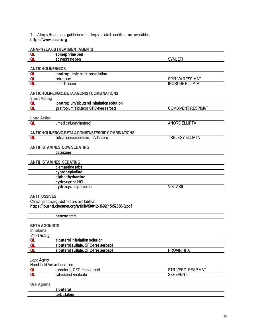#### The Allergy Report and guidelines for allergy-related conditions are available at: **https://www.aaaai.org**

#### <span id="page-35-0"></span>**ANAPHYLAXIS TREATMENT AGENTS**

| _ | ---<br>.<br>---<br>GI.                  |                     |
|---|-----------------------------------------|---------------------|
|   | $\sim$<br>$\sim$ 1.5<br>- -<br>◡◡<br>יש | $\sim$<br>- -<br>n. |
|   |                                         |                     |

#### <span id="page-35-1"></span>**ANTICHOLINERGICS**

| ipratropium inhalation solution |                                                                                |
|---------------------------------|--------------------------------------------------------------------------------|
| tiotropium                      | $\sim$<br>RESPIMA.<br>$\overline{ }$<br>IVF<br>⊣ت<br>`R∟.<br>Ш                 |
| .<br>umeclidinium               | $\sim$<br>$I\blacksquare$<br>_<br>INC<br>⊶<br>'۳.<br>∼<br>$\sim$<br>שטב<br>. . |

#### <span id="page-35-2"></span>**ANTICHOLINERGIC/BETA AGONIST COMBINATIONS**

#### **Short Acting**

| ------------- |                                                                               |                                        |
|---------------|-------------------------------------------------------------------------------|----------------------------------------|
|               | Valbuterol inhalation solution<br>ipratropium/a                               |                                        |
|               | $\mathbf{A} = \mathbf{A}$<br>-free aeroso<br>ipratropium<br>m/albuterol.<br>∼ | SPIMAT<br><b>OMBI</b><br>⊢N<br>.<br>۱W |
|               |                                                                               |                                        |

## **Long Acting**

|  | umeclidinium/vilanterol |
|--|-------------------------|
|  |                         |

### <span id="page-35-3"></span>**ANTICHOLINERGIC/BETA AGONIST/STEROID COMBINATIONS**

| fluticasone/umeclidinium/vilanterol | $I\blacksquare$<br>___<br>יי<br><br>- 1 |
|-------------------------------------|-----------------------------------------|
|                                     |                                         |

**ANORO ELLIPTA** 

#### <span id="page-35-4"></span>**ANTIHISTAMINES, LOW SEDATING**

**cetirizine**

#### <span id="page-35-5"></span>**ANTIHISTAMINES, SEDATING**

| <b>VISTARIL</b> |
|-----------------|
|                 |

#### <span id="page-35-6"></span>**ANTITUSSIVES**

Clinical practice guidelines are available at: **https://journal.chestnet.org/article/S0012-3692(15)52856-0/pdf**

#### **benzonatate**

#### <span id="page-35-7"></span>**BETA AGONISTS**

**Inhalants**

| <b>Short Acting</b> |                  |
|---------------------|------------------|
| $\sim$              | المستملف بماللته |

| albuterol inhalation solution       |            |
|-------------------------------------|------------|
| albuterol sulfate, CFC-free aerosol |            |
| albuterol sulfate, CFC-free aerosol | PROAIR HFA |

#### *Long Acting*

| Hand-held Active Inhalation |                                               |                            |
|-----------------------------|-----------------------------------------------|----------------------------|
|                             | $\cap$<br>olodaterol.<br>tree aerosol. د<br>ີ | <b>RESPIMAT</b><br>--<br>◡ |
|                             | ol xinatoate:<br>sain<br>meter                | SEI<br>KEVEN.              |
|                             |                                               |                            |

**Oral Agents**

| ---<br>-- |  |
|-----------|--|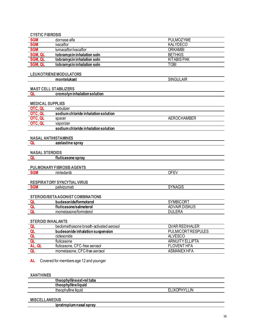#### <span id="page-36-0"></span>**CYSTIC FIBROSIS**

| SGM<br>SGM | dornase alfa               | PULMOZYME          |
|------------|----------------------------|--------------------|
|            | ivacaftor                  | <b>KALYDECO</b>    |
| <b>SGM</b> | lumacaftor/ivacaftor       | <b>ORKAMBI</b>     |
| SGM, QL    | tobramycin inhalation soln | <b>BETHKIS</b>     |
| SGM, QL    | tobramycin inhalation soln | <b>KITABIS PAK</b> |
| SGM, QL    | tobramycin inhalation soln | TOBI               |

#### <span id="page-36-1"></span>**LEUKOTRIENEMODULATORS**

montelukast

SINGULAIR

**SYNAGIS** 

#### <span id="page-36-2"></span>**MAST CELL STABILIZERS**

<span id="page-36-3"></span>

|                         | cromolyn inhalation solution        |                    |
|-------------------------|-------------------------------------|--------------------|
|                         |                                     |                    |
| <b>MEDICAL SUPPLIES</b> |                                     |                    |
| OTC, QL                 | nebulizer                           |                    |
| OTC, QL                 | sodium chloride inhalation solution |                    |
| OTC, QL                 | spacer                              | <b>AEROCHAMBER</b> |
| OTC, QL                 | vaporizer                           |                    |
|                         | sodium chloride inhalation solution |                    |

#### <span id="page-36-4"></span>**NASAL ANTIHISTAMINES**

#### **QL** azelastine spray

#### <span id="page-36-5"></span>**NASAL STEROIDS**

QL fluticasone spray

#### <span id="page-36-6"></span>PULMONARY FIBROSIS AGENTS

**SGM** nintedanib **OFEV** 

#### <span id="page-36-7"></span>RESPIRATORY SYNCYTIAL VIRUS

**SGM** palivizumab

#### <span id="page-36-8"></span>STEROID/BETA AGONIST COMBINATIONS

| budesonide/tormoterol  | <b>SYMBICORT</b>                |
|------------------------|---------------------------------|
| fluticasone/salmeterol | <b>DVAIR DISKUS</b><br>-<br>AL. |
| mometasone/tormoterol  | .ERA<br>וווח                    |

#### <span id="page-36-9"></span>**STEROID INHALANTS**

|        | beclomethasone breath-activated aerosol | <b>QVAR REDIHALER</b>     |
|--------|-----------------------------------------|---------------------------|
| QL     | budesonide inhalation suspension        | <b>PULMICORT RESPULES</b> |
| QL     | ciclesonide                             | ALVESCO                   |
|        | fluticasone                             | ARNUITY ELLIPTA           |
| AL, QL | fluticasone, CFC-free aerosol           | FLOVENT HFA               |
| QL     | mometasone, CFC-free aerosol            | ASMANEX HFA               |

AL Covered for members age 12 and younger

#### <span id="page-36-10"></span>**XANTHINES**

<span id="page-36-11"></span>

| theophylline ext-rel tabs |                     |
|---------------------------|---------------------|
| theophyllineliquid        |                     |
| theophylline liquid       | <b>ELIXOPHYLLIN</b> |
| <b>MISCELLANEOUS</b>      |                     |

<u>ipratropium nasal spray</u>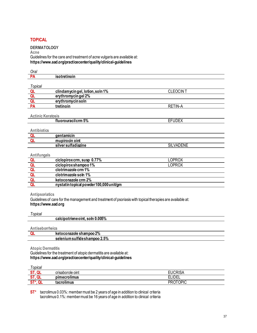#### <span id="page-37-0"></span>**TOPICAL**

#### <span id="page-37-1"></span>**DERMATOLOGY**

**Acne** Guidelines for the care and treatment of acne vulgaris are available at: **https://www.aad.org/practicecenter/quality/clinical-guidelines**

| Oral                     |                                                                                                           |                  |  |
|--------------------------|-----------------------------------------------------------------------------------------------------------|------------------|--|
| PA                       | isotretinoin                                                                                              |                  |  |
|                          |                                                                                                           |                  |  |
| Topical                  |                                                                                                           |                  |  |
| $\frac{QL}{QL}$          | clindamycingel, lotion, soln 1%                                                                           | <b>CLEOCINT</b>  |  |
|                          | erythromycingel 2%                                                                                        |                  |  |
|                          | erythromycin soln                                                                                         |                  |  |
| PA                       | tretinoin                                                                                                 | <b>RETIN-A</b>   |  |
|                          |                                                                                                           |                  |  |
| <b>Actinic Keratosis</b> |                                                                                                           |                  |  |
|                          | fluorouracilcrm 5%                                                                                        | <b>EFUDEX</b>    |  |
|                          |                                                                                                           |                  |  |
| <b>Antibiotics</b>       |                                                                                                           |                  |  |
| Q <sub>L</sub>           | gentamicin                                                                                                |                  |  |
| QL                       | mupirocin oint                                                                                            |                  |  |
|                          | silver sulfadiazine                                                                                       | <b>SILVADENE</b> |  |
|                          |                                                                                                           |                  |  |
| Antifungals              |                                                                                                           |                  |  |
|                          | ciclopiroxcrm, susp 0.77%                                                                                 | <b>LOPROX</b>    |  |
|                          | ciclopirox shampoo 1%                                                                                     | <b>LOPROX</b>    |  |
|                          | clotrimazole crm 1%                                                                                       |                  |  |
|                          | clotrimazole soln 1%                                                                                      |                  |  |
| <u>aaaaaa</u>            | ketoconazole crm 2%                                                                                       |                  |  |
|                          | nystatin topical powder 100,000 unit/gm                                                                   |                  |  |
|                          |                                                                                                           |                  |  |
| <b>Antipsoriatics</b>    |                                                                                                           |                  |  |
|                          | Guidelines of care for the management and treatment of psoriasis with topical therapies are available at: |                  |  |

**https://www.aad.org**

#### *Topical*

| vui |                                 |
|-----|---------------------------------|
|     | calcipotriene oint, soln 0.005% |
|     |                                 |
|     |                                 |

#### **Antiseborrheics**

| zole shampoo 2%<br>レヘキ          |
|---------------------------------|
| 2.5%<br><b>CONTROLL</b><br>nnor |

**Atopic Dermatitis**

Guidelines for the treatment of atopic dermatitis are available at: **https://www.aad.org/practicecenter/quality/clinical-guidelines**

| opical    |                  |                 |
|-----------|------------------|-----------------|
| oп<br>വ   | crisaborole oint | EUCR<br>JRISA   |
| QL<br>C.T | <br>pimecrolimus | חו ום =         |
| ST*, QL   | tacrolimus       | <b>PROTOPIC</b> |

**ST**\* tacrolimus 0.03%: member must be 2 years of age in addition to clinical criteria tacrolimus 0.1%: member must be 16 years of age in addition to clinical criteria ÷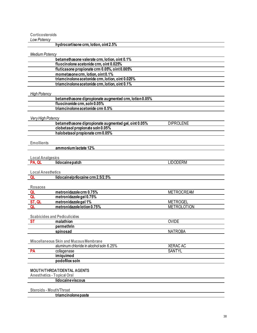#### **Corticosteroids**

<span id="page-38-0"></span>

| Low Potency                       |                                                        |                    |
|-----------------------------------|--------------------------------------------------------|--------------------|
|                                   | hydrocortisone crm, lotion, oint 2.5%                  |                    |
|                                   |                                                        |                    |
| <b>Medium Potency</b>             |                                                        |                    |
|                                   | betamethasone valerate crm, lotion, oint 0.1%          |                    |
|                                   | fluocinolone acetonide crm, oint 0.025%                |                    |
|                                   | fluticasone propionate crm 0.05%, oint 0.005%          |                    |
|                                   | mometasone crm, lotion, oint 0.1%                      |                    |
|                                   | triamcinolone acetonide crm, lotion, oint 0.025%       |                    |
|                                   | triamcinolone acetonide crm, lotion, oint 0.1%         |                    |
|                                   |                                                        |                    |
| <b>High Potency</b>               |                                                        |                    |
|                                   |                                                        |                    |
|                                   | betamethasone dipropionate augmented crm, lotion 0.05% |                    |
|                                   | fluocinonide crm, soln 0.05%                           |                    |
|                                   | triamcinolone acetonide crm 0.5%                       |                    |
|                                   |                                                        |                    |
| Very High Potency                 |                                                        |                    |
|                                   | betamethasone dipropionate augmented gel, oint 0.05%   | <b>DIPROLENE</b>   |
|                                   | clobetasol propionate soln 0.05%                       |                    |
|                                   | halobetasol propionate crm 0.05%                       |                    |
|                                   |                                                        |                    |
| <b>Emollients</b>                 |                                                        |                    |
|                                   | ammonium lactate 12%                                   |                    |
|                                   |                                                        |                    |
| <b>Local Analgesics</b>           |                                                        |                    |
| PA, QL                            | lidocainepatch                                         | <b>LIDODERM</b>    |
|                                   |                                                        |                    |
| <b>Local Anesthetics</b>          |                                                        |                    |
| QL                                | lidocaine/prilocaine crm 2.5/2.5%                      |                    |
|                                   |                                                        |                    |
| <b>Rosacea</b>                    |                                                        |                    |
| QL                                | metronidazole crm 0.75%                                | <b>METROCREAM</b>  |
| QL                                | metronidazole gel 0.75%                                |                    |
| ST, QL                            | metronidazole gel 1%                                   | <b>METROGEL</b>    |
| <b>QL</b>                         | metronidazole lotion 0.75%                             | <b>METROLOTION</b> |
|                                   |                                                        |                    |
|                                   |                                                        |                    |
|                                   | <b>Scabicides and Pediculicides</b>                    |                    |
| <b>ST</b>                         | malathion                                              | <b>OVIDE</b>       |
|                                   | permethrin                                             |                    |
|                                   | <u>spinosad</u>                                        | <b>NATROBA</b>     |
|                                   |                                                        |                    |
|                                   | <b>Miscellaneous Skin and Mucous Membrane</b>          |                    |
|                                   | aluminum chloride in alcohol soln 6.25%                | <b>XERAC AC</b>    |
| <b>PA</b>                         | collagenase                                            | <b>SANTYL</b>      |
|                                   | imiquimod                                              |                    |
|                                   | podofilox soln                                         |                    |
|                                   |                                                        |                    |
|                                   | <b>MOUTH/THROAT/DENTAL AGENTS</b>                      |                    |
| <b>Anesthetics - Topical Oral</b> |                                                        |                    |
|                                   | lidocaine viscous                                      |                    |
|                                   |                                                        |                    |
| <b>Steroids - Mouth/Throat</b>    |                                                        |                    |
|                                   | triamcinolonepaste                                     |                    |
|                                   |                                                        |                    |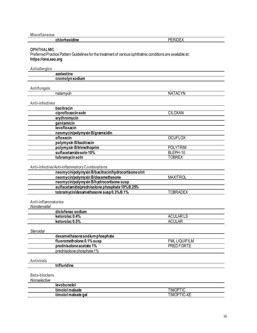| - 14 | - - - |
|------|-------|
|      |       |

#### <span id="page-39-0"></span>**OPHTHALMIC**

Preferred Practice Pattern Guidelines for the treatment of various ophthalmic conditions are available at: **https://one.aao.org**

**Antiallergics**

| Alludiltiyluə<br>azelastine                         |                             |
|-----------------------------------------------------|-----------------------------|
| cromolyn sodium                                     |                             |
|                                                     |                             |
| Antifungals                                         |                             |
| natamycin                                           | <b>NATACYN</b>              |
|                                                     |                             |
| <b>Anti-infectives</b>                              |                             |
| bacitracin                                          |                             |
| ciprofloxacin soln                                  | <b>CILOXAN</b>              |
| erythromycin                                        |                             |
| gentamicin                                          |                             |
| levofloxacin                                        |                             |
| neomycin/polymyxin B/gramicidin                     |                             |
| ofloxacin                                           |                             |
| polymyxin B/bacitracin                              | <b>OCUFLOX</b>              |
|                                                     |                             |
| polymyxin B/trimethoprim                            | <b>POLYTRIM</b><br>BLEPH-10 |
| sulfacetamide soln 10%                              |                             |
| tobramycin soln                                     | <b>TOBREX</b>               |
|                                                     |                             |
| Anti-infective/Anti-inflammatory Combinations       |                             |
| neomycin/polymyxin B/bacitracin/hydrocortisone oint |                             |
| neomycin/polymyxin B/dexamethasone                  | <b>MAXITROL</b>             |
| neomycin/polymyxin B/hydrocortisone susp            |                             |
| sulfacetamide/prednisolone phosphate 10%/0.25%      |                             |
| tobramycin/dexamethasone susp 0.3%/0.1%             | <b>TOBRADEX</b>             |
|                                                     |                             |
| Anti-inflammatories                                 |                             |
| Nonsteroidal                                        |                             |
| diclofenac sodium                                   |                             |
| ketorolac 0.4%                                      | <b>ACULARLS</b>             |
| ketorolac 0.5%                                      | <b>ACULAR</b>               |
|                                                     |                             |
| Steroidal                                           |                             |
| dexamethasone sodium phosphate                      |                             |
| fluorometholone 0.1% susp                           | <b>FML LIQUIFILM</b>        |
| prednisolone acetate 1%                             | PRED FORTE                  |
| prednisolone phosphate 1%                           |                             |
|                                                     |                             |
| <b>Antivirals</b>                                   |                             |
| trifluridine                                        |                             |
|                                                     |                             |
| <b>Beta-blockers</b>                                |                             |
| Nonselective                                        |                             |
| levobunolol                                         |                             |
| timolol maleate                                     | <b>TIMOPTIC</b>             |
| timolol maleate gel                                 | <b>TIMOPTIC-XE</b>          |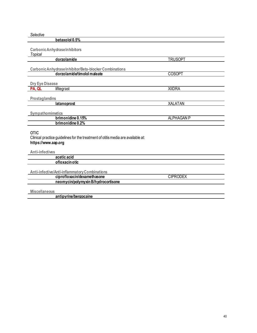<span id="page-40-0"></span>

| Selective                                                                                                              |                   |
|------------------------------------------------------------------------------------------------------------------------|-------------------|
| betaxolol 0.5%                                                                                                         |                   |
| <b>Carbonic Anhydrase Inhibitors</b><br>Topical                                                                        |                   |
| dorzolamide                                                                                                            | <b>TRUSOPT</b>    |
| Carbonic Anhydrase Inhibitor/Beta-blocker Combinations                                                                 |                   |
| dorzolamide/timolol maleate                                                                                            | <b>COSOPT</b>     |
| <b>Dry Eye Disease</b>                                                                                                 |                   |
| lifitegrast<br>PA, QL                                                                                                  | <b>XIIDRA</b>     |
| Prostaglandins                                                                                                         |                   |
| latanoprost                                                                                                            | <b>XALATAN</b>    |
| Sympathomimetics                                                                                                       |                   |
| brimonidine 0.15%                                                                                                      | <b>ALPHAGAN P</b> |
| brimonidine 0.2%                                                                                                       |                   |
| <b>OTIC</b><br>Clinical practice guidelines for the treatment of otitis media are available at:<br>https://www.aap.org |                   |
| <b>Anti-infectives</b>                                                                                                 |                   |
| acetic acid                                                                                                            |                   |
| ofloxacin otic                                                                                                         |                   |
| Anti-infective/Anti-inflammatory Combinations                                                                          |                   |
| ciprofloxacin/dexamethasone                                                                                            | <b>CIPRODEX</b>   |
| neomycin/polymyxin B/hydrocortisone                                                                                    |                   |
| <b>Miscellaneous</b>                                                                                                   |                   |
| antipyrine/benzocaine                                                                                                  |                   |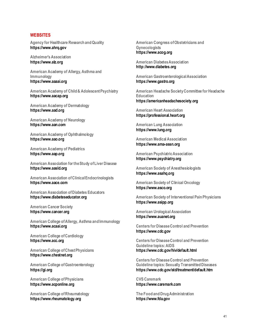#### <span id="page-41-0"></span>**WEBSITES**

**Agency for Healthcare Research and Quality https://www.ahrq.gov**

**Alzheimer's Association https://www.alz.org**

**American Academy of Allergy, Asthma and Immunology https://www.aaaai.org**

**American Academy of Child & Adolescent Psychiatry https://www.aacap.org**

**American Academy of Dermatology https://www.aad.org**

**American Academy of Neurology https://www.aan.com**

**American Academy of Ophthalmology https://www.aao.org**

**American Academy of Pediatrics https://www.aap.org**

**American Association for the Study of Liver Disease https://www.aasld.org**

**American Association of Clinical Endocrinologists https://www.aace.com**

**American Association of Diabetes Educators https://www.diabeteseducator.org**

**American Cancer Society https://www.cancer.org**

**American College of Allergy, Asthma and Immunology https://www.acaai.org**

**American College of Cardiology https://www.acc.org**

**American College of Chest Physicians https://www.chestnet.org**

**American College of Gastroenterology https://gi.org**

**American College of Physicians https://www.acponline.org**

**American College of Rheumatology https://www.rheumatology.org**

**American Congress of Obstetricians and Gynecologists https://www.acog.org**

**American Diabetes Association http://www.diabetes.org**

**American Gastroenterological Association https://www.gastro.org**

**American Headache Society Committee for Headache Education https://americanheadachesociety.org**

**American Heart Association https://professional.heart.org**

**American Lung Association https://www.lung.org**

**American Medical Association https://www.ama-assn.org**

**American Psychiatric Association https://www.psychiatry.org**

**American Society of Anesthesiologists https://www.asahq.org**

**American Society of Clinical Oncology https://www.asco.org**

**American Society of Interventional Pain Physicians https://www.asipp.org**

**American Urological Association https://www.auanet.org**

**Centers for Disease Control and Prevention https://www.cdc.gov**

**Centers for Disease Control and Prevention Guideline topics: AIDS https://www.cdc.gov/hiv/default.html**

**Centers for Disease Control and Prevention Guideline topics: Sexually Transmitted Diseases https://www.cdc.gov/std/treatment/default.htm**

**CVS Caremark https://www.caremark.com**

**The Food and Drug Administration https://www.fda.gov**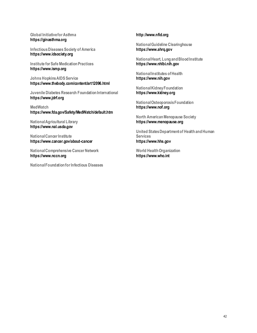#### **Global Initiative for Asthma https://ginasthma.org**

**Infectious Diseases Society of America https://www.idsociety.org**

**Institute for Safe Medication Practices https://www.ismp.org**

**Johns Hopkins AIDS Service https://www.thebody.com/content/art12096.html**

**Juvenile Diabetes Research Foundation International https://www.jdrf.org**

**MedWatch https://www.fda.gov/Safety/MedWatch/default.htm**

**National Agricultural Library https://www.nal.usda.gov**

**National Cancer Institute https://www.cancer.gov/about-cancer**

**National Comprehensive Cancer Network https://www.nccn.org**

**National Foundation for Infectious Diseases**

#### **http://www.nfid.org**

**National Guideline Clearinghouse https://www.ahrq.gov**

**National Heart, Lung and Blood Institute https://www.nhlbi.nih.gov**

**National Institutes of Health https://www.nih.gov**

**National Kidney Foundation https://www.kidney.org**

**National Osteoporosis Foundation https://www.nof.org**

**North American Menopause Society https://www.menopause.org**

**United States Department of Health and Human Services https://www.hhs.gov**

**World Health Organization https://www.who.int**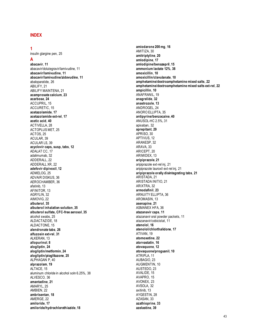#### <span id="page-43-0"></span>**INDEX**

#### **1**

insulin glargine pen, 25

#### **A**

**abacavir**, **11** abacavir/dolutegravir/lamivudine, 11 **abacavir/lamivudine**, **11 abacavir/lamivudine/zidovudine**, **11** abaloparatide, 26 ABILIFY, 21 ABILIFY MAINTENA, 21 **acamprosate calcium**, **23 acarbose**, **24** ACCUPRIL, 15 ACCURETIC, 15 **acetazolamide**, **17 acetazolamide ext -rel**, **17 acetic acid**, **40** ACTIVELLA, 28 ACTOPLUS MET, 25 ACTOS, 25 ACULAR, 39 ACULAR LS, 39 **acyclovir caps, susp, tabs**, **12** ADALAT CC, 17 adalimumab, 32 ADDERALL, 22 ADDERALL XR, 22 **adefovir dipivoxil**, **12** ADMELOG, 25 ADVAIR DISKUS, 36 AEROCHAMBER, 36 afatinib, 13 AFINITOR, 13 AGRYLIN, 32 AIMOVIG, 22 **albuterol**, **35 albuterol inhalation solution**, **35 albuterol sulfate, CFC -free aerosol**, **35** alcohol swabs, 25 ALDACTAZIDE, 18 ALDACTONE, 15 **alendronate tabs**, **26 alfuzosin ext -rel**, **31** ALKERAN, 13 **allopurinol**, **8 alogliptin**, **24 alogliptin/metformin**, **24 alogliptin/pioglitazone**, **25** ALPHAGAN P, 40 **alprazolam**, **19** ALTACE, 15 aluminum chloride in alcohol soln 6.25%, 38 ALVESCO, 36 **amantadine**, **21** AMARYL, 25 AMBIEN, 22 **ambrisentan**, **18** AMERGE, 22 **amiloride**, **1 7 amiloride/hydrochlorothiazide**, **18**

**amiodarone 200 mg**, **16** AMITIZA, 30 **amitriptyline**, **20 amlodipine**, **17 amlodipine/benazepril**, **15 ammonium lactate 12%**, **38 amoxicillin**, **10 amoxicillin/clavulanate**, **10 amphetamine/dextroamphetamine mixed salts**, **22 amphetamine/dextroamphetamine mixed salts ext -rel**, **22 ampicillin**, **10** ANAFRANIL, 19 **anagrelide**, **32 anastrozole**, **13** ANDROGEL, 24 ANORO ELLIPTA, 35 **antipyrine/benzocaine**, **40** ANUSOL -HC 2.5%, 31 apixaban, 32 **aprepitant**, **29** APRISO, 30 APTIVUS, 12 ARANESP, 32 ARAVA, 33 ARICEPT, 20 ARIMIDEX, 13 **aripiprazole**, **21** aripiprazole ext -rel inj, 21 aripiprazole lauroxil ext -rel inj, 21 **aripiprazole orally disintegrating tabs**, **21** ARISTADA, 21 ARISTADA INITIO, 21 ARIXTRA, 32 **armodafinil**, **23** ARNUITY ELLIPTA, 36 AROMASIN, 13 **asenapine**, **21** ASMANEX HFA, 36 **atazanavir caps**, **11** atazanavir oral powder packets, 11 atazanavir/cobicistat, 11 **atenolol**, **16 atenolol/chlorthalidone**, **17** ATIVAN, 19 **atomoxetine**, **22 atorvastatin**, **16 atovaquone**, **12 atovaquone/proguanil**, **10** ATRIPLA, 11 AUBAGIO, 23 AUGMENTIN, 10 AUSTEDO, 23 AVALIDE, 15 AVAPRO, 15 AVONEX, 23 AVSOLA, 32 axitinib, 13 AYGESTIN, 28 AZASAN, 33 **azathioprine**, **33 azelastine**, **39**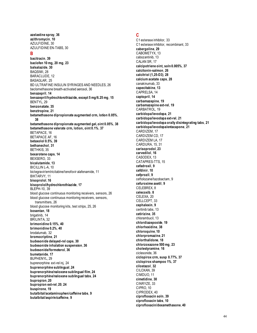**azelastine spray**, **36 azithromycin**, **10** AZULFIDINE, 30 AZULFIDINE EN-TABS, 30

#### **B**

**bacitracin**, **39 baclofen 10 mg, 20 mg**, **23 balsalazide**, **30** BAQSIMI, 28 BARACLUDE, 12 BASAGLAR, 25 BD ULTRAFINE INSULIN SYRINGES AND NEEDLES, 26 beclomethasone breath-activated aerosol, 36 **benazepril**, **14 benazepril/hydrochlorothiazide, except 5 mg/6.25 mg**, **15** BENTYL, 29 **benzonatate**, **35 benztropine**, **21 betamethasone dipropionate augmented crm, lotion 0.05%**, **38 betamethasone dipropionate augmented gel, oint 0.05%**, **38 betamethasone valerate crm, lotion, oint 0.1%**, **37** BETAPACE, 16 BETAPACE AF, 16 **betaxolol 0.5%**, **39 bethanechol**, **31** BETHKIS, 35 **bexarotene caps**, **14** BEXSERO, 33 **bicalutamide**, **13** BICILLIN L-A, 10 bictegravir/emtricitabine/tenofovir alafenamide, 11 BIKTARVY, 11 **bisoprolol**, **16 bisoprolol/hydrochlorothiazide**, **17** BLEPH-10, 39 blood glucose continuous monitoring receivers, sensors, 26 blood glucose continuous monitoring receivers, sensors, transmitters, 26 blood glucose monitoring kits, test strips, 25, 26 **bosentan**, **18** brigatinib, 14 BRILINTA, 32 **brimonidine 0.15%**, **40 brimonidine 0.2%**, **40** brodalumab, 32 **bromocriptine**, **21 budesonide delayed-rel caps**, **30 budesonide inhalation suspension**, **36 budesonide/formoterol**, **36 bumetanide**, **17** BUPHENYL, 29 buprenorphine ext-rel inj, 24 **buprenorphine sublingual**, **24 buprenorphine/naloxone sublingual film**, **24 buprenorphine/naloxone sublingual tabs**, **24 bupropion**, **20 bupropion ext-rel**, **20**, **24 buspirone**, **19 butalbital/acetaminophen/caffeine tabs**, **9 butalbital/aspirin/caffeine**, **9**

#### **C**

C1 esterase inhibitor, 33 C1 esterase inhibitor, recombinant, 33 **cabergoline**, **29** CABOMETYX, 13 cabozantinib, 13 CALAN SR, 17 **calcipotriene oint, soln 0.005%**, **37 calcitonin-salmon**, **26 calcitriol (1,25-D3)**, **28 calcium acetate caps**, **28** canakinumab, 33 **capecitabine**, **13** CAPRELSA, 14 **captopril**, **14 carbamazepine**, **19 carbamazepine ext-rel**, **19** CARBATROL, 19 **carbidopa/levodopa**, **21 carbidopa/levodopa ext-rel**, **21 carbidopa/levodopa orally disintegrating tabs**, **21 carbidopa/levodopa/entacapone**, **21** CARDIZEM, 17 CARDIZEM CD, 17 CARDIZEM LA, 17 CARDURA, 15, 31 **carisoprodol**, **23 carvedilol**, **16** CASODEX, 13 CATAPRES-TTS, 15 **cefadroxil**, **9 cefdinir**, **10 cefprozil**, **9** ceftolozane/tazobactam, 9 **cefuroxime axetil**, **9** CELEBREX, 8 **celecoxib**, **8** CELEXA, 20 CELLCEPT, 33 **cephalexin**, **9** ceritinib tabs, 13 **cetirizine**, **35** chlorambucil, 13 **chlordiazepoxide**, **19 chlorhexidine**, **38 chloroquine**, **10 chlorpromazine**, **21 chlorthalidone**, **18 chlorzoxazone 500 mg**, **23 cholestyramine**, **16** ciclesonide, 36 **ciclopirox crm, susp 0.77%**, **37 ciclopirox shampoo 1%**, **37 cilostazol**, **32** CILOXAN, 39 CIMDUO, 11 **cimetidine**, **30** CINRYZE, 33 CIPRO, 10 CIPRODEX, 40 **ciprofloxacin soln**, **39 ciprofloxacin tabs**, **10 ciprofloxacin/dexamethasone**, **40**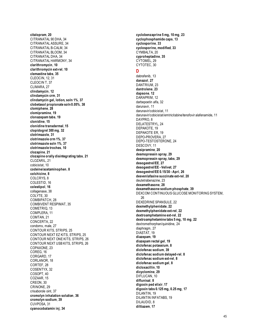citalopram. 20 CITRANATAL 90 DHA, 34 **CITRANATAL ASSURE, 34** CITRANATAL B-CALM. 34 CITRANATAL BLOOM. 34 CITRANATAL DHA, 34 CITRANATAL HARMONY, 34 clarithromycin, 10 clarithromycin ext-rel, 10 clemastine tabs, 35 **CLEOCIN. 12.31** CLEOCIN T. 37 CLIMARA, 27 clindamycin, 12 clindamycin crm, 31 clindamycin gel, lotion, soln 1%, 37 clobetasol propionate soln 0.05%, 38 clomiphene, 28 clomipramine, 19 clonazepam tabs, 19 clonidine, 15 clonidine transdermal, 15 clopidogrel 300 mg, 32 clotrimazole, 31 clotrimazole crm 1%. 37 clotrimazole soln 1%. 37 clotrimazole troches. 10 clozapine. 21 clozapine orally disintegrating tabs, 21 CLOZARIL, 21 cobicistat, 10 codeine/acetaminophen, 8 colchicine, 8 COLCRYS, 8 COLESTID, 16 colestipol, 16 collagenase, 38 COLYTE, 30 COMBIPATCH, 28 **COMBIVENT RESPIMAT, 35** COMETRIQ, 13 COMPLERA, 11 COMTAN, 21 CONCERTA, 22 condoms, male, 27 CONTOUR KITS, STRIPS, 25 CONTOUR NEXT EZ KITS, STRIPS, 25 CONTOUR NEXT ONE KITS, STRIPS, 26 CONTOUR NEXT USB KITS, STRIPS, 26 COPAXONE, 23 COREG, 16 CORGARD, 17 CORLANOR, 18 CORTEF, 28 COSENTYX, 32 COSOPT, 40 COZAAR, 15 CREON, 30 CRINONE, 29 crisaborole oint, 37 cromolyn inhalation solution, 36 cromolyn sodium, 39 CUVPOSA, 31 cyanocobalamin inj, 34

cyclobenzaprine 5 mg, 10 mg, 23 cyclophosphamide caps, 13 cvclosporine. 33 cyclosporine, modified, 33 CYMBALTA, 20 cyproheptadine, 35 CYTOMEL, 29 CYTOTEC, 30

#### D

dabrafenib, 13 danazol 27 DANTRIUM 23 dantrolene. 23 dapsone. 12 DARAPRIM, 12 darbepoetin alfa, 32 darunavir, 11 darunavir/cobicistat, 11 darunavir/cobicistat/emtricitabine/tenofovir alafenamide, 11 DAYPRO<sub>.</sub>8 DELATESTRYL. 24 DEPAKOTE, 19 DEPAKOTE ER. 19 DEPO-PROVERA, 27 DEPO-TESTOSTERONE, 24 DESCOVY, 11 desipramine, 20 desmopressin spray, 29 desmopressin spray, tabs, 29 desogestrel/EE, 27 desogestrel/EE - Velivet, 27 desogestrel/EE 0.15/30 - Apri, 26 desvenlafaxine succinate ext-rel, 20 deutetrabenazine, 23 dexamethasone, 28 dexamethasone sodium phosphate, 39 DEXCOM CONTINUOUS GLUCOSE MONITORING SYSTEM. 26 **DEXEDRINE SPANSULE, 22** dexmethylphenidate, 22 dexmethylphenidate ext-rel, 22 dextroamphetamine ext-rel, 22 dextroamphetamine tabs 5 mg, 10 mg, 22 dextromethorphan/quinidine, 24 diaphragm, 27 DIASTAT. 19 diazepam. 19 diazepam rectal gel, 19 diclofenac potassium, 8 diclofenac sodium, 39 diclofenac sodium delayed-rel, 8 diclofenac sodium ext-rel, 8 diclofenac sodium gel, 8 dicloxacillin, 10 dicvclomine. 29 DIFLUCAN, 10 diflunisal, 8 digoxin ped elixir, 17 digoxin tabs 0.125 mg, 0.25 mg, 17 DILANTIN, 19 **DILANTIN INFATABS, 19** DILAUDID, 8 diltiazem. 17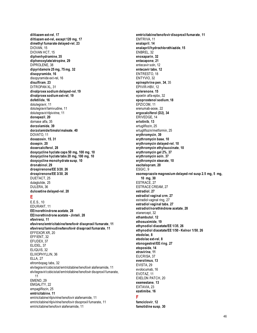**diltiazem ext-rel**, **17 diltiazem ext-rel, except 120 mg**, **17 dimethyl fumarate delayed-rel**, **23** DIOVAN, 15 DIOVAN HCT, 15 **diphenhydramine**, **35 diphenoxylate/atropine**, **29** DIPROLENE, 38 **dipyridamole 25 mg, 75 mg**, **32 disopyramide**, **16** disopyramide ext-rel, 16 **disulfiram**, **23** DITROPAN XL, 31 **divalproex sodium delayed-rel**, **19 divalproex sodium ext-rel**, **19 dofetilide**, **16** dolutegravir, 11 dolutegravir/lamivudine, 11 dolutegravir/rilpivirine, 11 **donepezil**, **20** dornase alfa, 35 **dorzolamide**, **39 dorzolamide/timolol maleate**, **40** DOVATO, 11 **doxazosin**, **15**, **31 doxepin**, **20 doxercalciferol**, **28 doxycycline hyclate caps 50 mg, 100 mg**, **10 doxycycline hyclate tabs 20 mg, 100 mg**, **10 doxycycline monohydrate susp**, **10 dronabinol**, **29 drospirenone/EE 3/20**, **26 drospirenone/EE 3/30**, **26** DUETACT, 25 dulaglutide, 25 DULERA, 36 **duloxetine delayed-rel**, **20**

#### **E**

E.E.S., 10 EDURANT, 11 **EE/norethindrone acetate**, **28 EE/norethindrone acetate - Jinteli**, **28 efavirenz**, **11 efavirenz/emtricitabine/tenofovir disoproxil fumarate**, **11 efavirenz/lamivudine/tenofovir disoproxil fumarate**, **11** EFFEXOR XR, 20 EFFIENT, 32 EFUDEX, 37 ELIDEL, 37 ELIQUIS, 32 ELIXOPHYLLIN, 36 ELLA, 27 eltrombopag tabs, 32 elvitegravir/cobicistat/emtricitabine/tenofovir alafenamide, 11 elvitegravir/cobicistat/emtricitabine/tenofovir disoproxil fumarate, 11 EMEND, 29 EMGALITY, 22 empagliflozin, 25 **emtricitabine**, **11** emtricitabine/rilpivirine/tenofovir alafenamide, 11

emtricitabine/rilpivirine/tenofovir disoproxil fumarate, 11 emtricitabine/tenofovir alafenamide, 11

**emtricitabine/tenofovir disoproxil fumarate**, **11** EMTRIVA, 11 **enalapril**, **14 enalapril/hydrochlorothiazide**, **15** ENBREL, 32 **enoxaparin**, **32 entacapone**, **21** entecavir soln, 12 **entecavir tabs**, **12** ENTRESTO, 18 ENTYVIO, 32 **epinephrine pen**, **34**, 35 EPIVIR-HBV, 12 **eplerenone**, **15** epoetin alfa-epbx, 32 **epoprostenol sodium**, **18** EPZICOM, 11 erenumab-aooe, 22 **ergocalciferol (D2)**, **34** ERIVEDGE, 14 **erlotinib**, **13** ertugliflozin, 25 ertugliflozin/metformin, 25 **erythromycin**, **39 erythromycin base**, **10 erythromycin delayed-rel**, **10 erythromycin ethylsuccinate**, **10 erythromycin gel 2%**, **37 erythromycin soln**, **37 erythromycin stearate**, **10 escitalopram**, **20** ESGIC, 9 **esomeprazole magnesium delayed-rel susp 2.5 mg, 5 mg, 10 mg**, **30** ESTRACE, 27 ESTRACE CREAM, 27 **estradiol**, **27 estradiol vaginal crm**, **27** estradiol vaginal ring, 27 **estradiol vaginal tabs**, **27 estradiol/norethindrone acetate**, **28** etanercept, 32 **ethambutol**, **12 ethosuximide**, **19 ethynodiol diacetate/EE 1/35**, **26 ethynodiol diacetate/EE 1/50 - Kelnor 1/50**, **26 etodolac**, **8 etodolac ext-rel**, **8 etonogestrel/EE ring**, **27 etoposide**, **14 etravirine**, **11** EUCRISA, 37 **everolimus**, **13** EVISTA, 29 evolocumab, 16 EVOTAZ, 11 EXELON PATCH, 20 **exemestane**, **13** EXTAVIA, 23 **ezetimibe**, **16 F famciclovir**, **12**

**famotidine susp**, **30**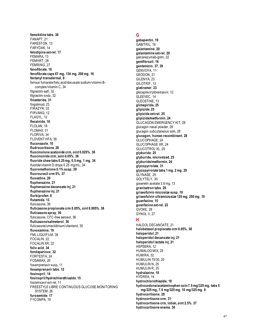**famotidine tabs**, **30** FANAPT, 21 FARESTON, 13 FARYDAK, 14 **felodipine ext-rel**, **17** FEMARA, 13 FEMHRT, 28 FEMRING, 27 **fenofibrate**, **16 fenofibrate caps 67 mg, 134 mg, 200 mg**, **16 fentanyl transdermal**, **8** ferrous fumarate/folic acid/docusate sodium/vitamin Bcomplex/vitamin C, 34 filgrastim-aafi, 32 filgrastim-sndz, 32 **finasteride**, **31** fingolimod, 23 FIRAZYR, 33 FIRVANQ, 12 FLAGYL, 12 **flecainide**, **16** FLOLAN, 18 FLOMAX, 31 FLORIVA, 34 FLOVENT HFA, 36 **fluconazole**, **10 fludrocortisone**, **28 fluocinolone acetonide crm, oint 0.025%**, **38 fluocinonide crm, soln 0.05%**, **38 fluoride chew tabs 0.25 mg, 0.5 mg, 1 mg**, **34** fluoride/vitamin D drops 0.25 mg/mL, 34 **fluorometholone 0.1% susp**, **39 fluorouracil crm 5%**, **37 fluoxetine**, **20 fluphenazine**, **21 fluphenazine decanoate inj**, **21 fluphenazine inj**, **21 flurbiprofen**, **8 flutamide**, **13** fluticasone, 36 **fluticasone propionate crm 0.05%, oint 0.005%**, **38 fluticasone spray**, **36** fluticasone, CFC-free aerosol, 36 **fluticasone/salmeterol**, **36** fluticasone/umeclidinium/vilanterol, 35 **fluvoxamine**, **19** FML LIQUIFILM, 39 FOCALIN, 22 FOCALIN XR, 22 **folic acid**, **34 fondaparinux**, **32** FORTESTA, 24 FOSAMAX, 26 fosamprenavir susp, 11 **fosamprenavir tabs**, **12 fosinopril**, **14 fosinopril/hydrochlorothiazide**, **15** fostemsavir ext-rel, 11 FREESTYLE LIBRE CONTINUOUS GLUCOSE MONITORING SYSTEM, 26 **furosemide**, **17** FYCOMPA, 19

#### **G**

**gabapentin**, **19** GABITRIL, 19 **galantamine**, **20 galantamine ext-rel**, **20** galcanezumab-gnlm, 22 **gemfibrozil**, **16 gentamicin**, **37**, **39** GENVOYA, 11 GEODON, 21 GILENYA, 23 GILOTRIF, 13 **glatiramer**, **23** glecaprevir/pibrentasvir, 12 GLEEVEC, 14 GLEOSTINE, 13 **glimepiride**, **25 glipizide**, **25 glipizide ext-rel**, **25 glipizide/metformin**, **24** GLUCAGON EMERGENCY KIT, 28 glucagon nasal powder, 28 glucagon subcutaneous soln, 28 **glucagon, human recombinant**, **28** GLUCOPHAGE, 24 GLUCOPHAGE XR, 24 GLUCOTROL XL, 25 **glyburide**, **25 glyburide, micronized**, **25 glyburide/metformin**, **24 glycopyrrolate**, **31 glycopyrrolate tabs 1 mg, 2 mg**, **29** GLYNASE, 25 GOLYTELY, 30 goserelin acetate 3.6 mg, 13 **granisetron tabs**, **29 griseofulvin microsize susp**, **10 griseofulvin ultramicrosize 125 mg, 250 mg**, **10 guanfacine**, **15 guanfacine ext-rel**, **22** GVOKE, 28 GYNOL II, 27

#### **H**

HALDOL DECANOATE, 21 **halobetasol propionate crm 0.05%**, **38 haloperidol**, **21 haloperidol decanoate inj**, **21 haloperidol lactate inj**, **21** HEPSERA, 12 HUMALOG MIX, 25 HUMIRA, 32 HUMULIN 70/30, 25 HUMULIN N, 25 HUMULIN R, 25 **hydralazine**, **18** HYDREA, 14 **hydrochlorothiazide**, **18 hydrocodone/acetaminophen soln 7.5 mg/325 mg, tabs 5 mg/325 mg, 7.5 mg/325 mg, 10 mg/325 mg**, **8 hydrocortisone**, **28 hydrocortisone crm**, **31 hydrocortisone crm, lotion, oint 2.5%**, **37 hydrocortisone enema**, **30**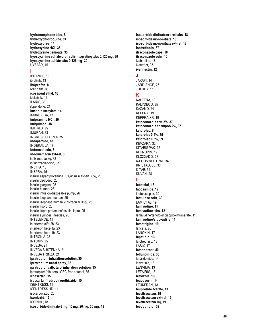**hydromorphone tabs**, **8 hydroxychloroquine**, **33 hydroxyurea**, **14 hydroxyzine HCl**, **35 hydroxyzine pamoate**, **35 hyoscyamine sulfate orally disintegrating tabs 0.125 mg**, **30 hyoscyamine sulfate tabs 0.125 mg**, **30** HYZAAR, 15

#### **I**

IBRANCE, 13 ibrutinib, 13 **ibuprofen**, **8 icatibant**, **33 icosapent ethyl**, **16** idelalisib, 13 ILARIS, 33 iloperidone, 21 **imatinib mesylate**, **14** IMBRUVICA, 13 **imipramine HCl**, **20 imiquimod**, **38** IMITREX, 22 IMURAN, 33 INCRUSE ELLIPTA, 35 **indapamide**, **18** INDERAL LA, 17 **indomethacin**, **8 indomethacin ext -rel**, **8** infliximab -axxq, 32 influenza vaccine, 33 INLYTA, 13 INSPRA, 15 insulin aspart protamine 70%/insulin aspart 30%, 25 insulin degludec, 25 insulin glargine, 25 insulin human, 25 insulin infusion disposable pump, 26 insulin isophane human, 25 insulin isophane human 70%/regular 30%, 25 insulin lispro, 25 insulin lispro protamine/insulin lispro, 25 insulin syringes, needles, 26 INTELENCE, 11 interferon alfa -2b, 33 interferon beta -1a, 23 interferon beta -1b, 23 INTRON A, 33 INTUNIV, 22 INVEGA, 21 INVEGA SUSTENNA, 21 INVEGA TRINZA, 21 **ipratropium inhalation solution**, **35 ipratropium nasal spray**, **36 ipratropium/albuterol inhalation solution**, **35** ipratropium/albuterol, CFC -free aerosol, 35 **irbesartan**, **15 irbesartan/hydrochlorothiazide**, **15** ISENTRESS, 11 ISENTRESS HD, 11 isocarboxazid, 20 **isoniazid**, **12** ISORDIL, 18 **isosorbide dinitrate 5 mg, 10 mg, 20 mg, 30 mg**, **18**

**isosorbide dinitrate ext -rel tabs**, **18 isosorbide mononitrate**, **18 isosorbide mononitrate ext -rel**, **18 isotretinoin**, **37 itraconazole caps**, **10 itraconazole soln**, **10** ivabradine, 18 ivacaftor, 35 **ivermectin**, **12 J** JAKAFI, 14 JARDIANCE, 25 JULUCA, 11 **K** KALETRA, 12 KALYDECO, 35 KAZANO, 24 KEPPRA, 19 KEPPRA XR, 19 **ketoconazole crm 2%**, **37 ketoconazole shampoo 2%**, **37 ketorolac**, **8 ketorolac 0.4%**, **39 ketorolac 0.5%**, **39** KEVZARA, 32 KITABIS PAK, 35 KLONOPIN, 19 KLOXXADO, 23 K-PHOS NEUTRAL, 34 KRISTALOSE, 30 K-TAB, 34 KUVAN, 28 **L labetalol**, **16 lacosamide**, **19** lactulose pak, 30 **lactulose soln**, **30** LAMICTAL, 19 **lamivudine**, **11 lamivudine tabs**, **12** lamivudine/tenofovir disoproxil fumarate, 11 **lamivudine/zidovudine**, **11 lamotrigine**, **19** lancets, 26 LANOXIN, 17 **lapatinib**, **13** larotrectinib, 13 LASIX, 17 **latanoprost**, **40 leflunomide**, **33** lenalidomide, 14 lenvatinib, 13 LENVIMA, 13 LETAIRIS, 18 **letrozole**, **13 leucovorin**, **14** LEUKERAN, 13 **leuprolide acetate**, **13 levetiracetam**, **19 levetiracetam ext -rel**, **19 levetiracetam inj**, **19 levobunolol**, **39**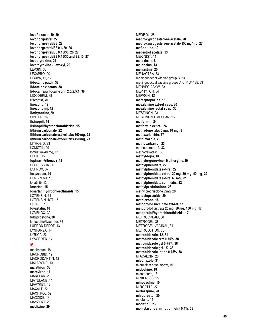**levofloxacin**, **10**, **39 levonorgestrel**, **27 levonorgestrel/EE**, **27 levonorgestrel/EE 0.1/20**, **26 levonorgestrel/EE 0.15/30**, **26**, **27 levonorgestrel/EE 0.15/30 and EE 10**, **27 levothyroxine**, **29 levothyroxine - Levoxyl**, **29** LEVSIN, 30 LEXAPRO, 20 LEXIVA, 11, 12 **lidocaine patch**, **38 lidocaine viscous**, **38 lidocaine/prilocaine crm 2.5/2.5%**, **38** LIDODERM, 38 lifitegrast, 40 **linezolid**, **12 linezolid inj**, **12 liothyronine**, **29** LIPITOR, 16 **lisinopril**, **14 lisinopril/hydrochlorothiazide**, **15 lithium carbonate**, **22 lithium carbonate ext -rel tabs 300 mg**, **23 lithium carbonate ext -rel tabs 450 mg**, **23** LITHOBID, 23 LOMOTIL, 29 lomustine 40 mg, 13 LOPID, 16 **lopinavir/ritonavir**, **12** LOPRESSOR, 17 LOPROX, 37 **lorazepam**, **19** LORBRENA, 13 lorlatinib, 13 **losartan**, **15 losartan/hydrochlorothiazide**, **15** LOTENSIN, 14 LOTENSIN HCT, 15 LOTREL, 15 **lovastatin**, **16** LOVENOX, 32 **lubiprostone**, **30** lumacaftor/ivacaftor, 35 LUPRON DEPOT, 13 LYNPARZA, 14 LYRICA, 22 LYSODREN, 14 **M** macitentan, 18

MEDROL, 28 **medroxyprogesterone acetate**, **28 medroxyprogesterone acetate 150 mg/mL**, **27 mefloquine**, **10 megestrol acetate**, **13** MEKINIST, 14 **meloxicam**, **8 melphalan**, **13 memantine**, **20** MENACTRA, 33 meningococcal vaccine group B, 33 meningococcal vaccine groups A,C,Y,W -135, 33 MENVEO ACYW, 33 MEPHYTON, 34 MEPRON, 12 **mercaptopurine**, **13 mesalamine ext -rel caps**, **30 mesalamine rectal susp**, **30** MESTINON, 23 MESTINON TIMESPAN, 23 **metformin**, **24 metformin ext -rel**, **24 methadone tabs 5 mg, 10 mg**, **8 methazolamide**, **17 methimazole**, **29 methocarbamol**, **23** methotrexate, 13, **33** methotrexate inj, 33 **methyldopa**, **18 methylergonovine - Methergine**, **29 methylphenidate**, **22 methylphenidate ext -rel**, **22 methylphenidate ext -rel 20 mg, 30 mg, 40 mg**, **22 methylphenidate ext -rel 60 mg**, **22 methylphenidate soln, tabs**, **22 methylprednisolone**, **28** methylprednisolone 2 mg, 28 **metoclopramide**, **29 metolazone**, **18 metoprolol succinate ext -rel**, **17 metoprolol tartrate 25 mg, 50 mg, 100 mg**, **17 metoprolol/hydrochlorothiazide**, **17** METROCREAM, 38 METROGEL, 38 METROGEL -VAGINAL, 31 METROLOTION, 38 **metronidazole**, **12**, **31 metronidazole crm 0.75%**, **38 metronidazole gel 0.75%**, **38 metronidazole gel 1%**, **38 metronidazole lotion 0.75%**, **38** MIACALCIN, 26 **miconazole**, **31** midazolam nasal spray, 19 **midodrine**, **18** midostaurin, 13 MINIPRESS, 15 **minocycline**, **10** MIRCETTE, 27 **mirtazapine**, **20 misoprostol**, **30** mitotane, 14 **modafinil**, **23**

**mometasone crm, lotion, oint 0.1%**, **38**

MACROBID, 12 MACRODANTIN, 12 MALARONE, 10 **malathion**, **38 maraviroc**, **11** MARPLAN, 20 MATULANE, 14 MAVYRET, 12 MAXALT, 22 MAXITROL, 39 MAXZIDE, 18 MAYZENT, 23 **meclizine**, **29**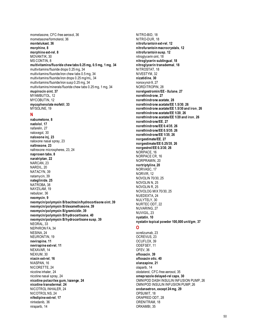mometasone, CFC-free aerosol, 36 mometasone/formoterol, 36 **montelukast**, **36 morphine**, **8 morphine ext-rel**, **8** MOVANTIK, 30 MS CONTIN, 8 **multivitamins/fluoride chew tabs 0.25 mg, 0.5 mg, 1 mg**, **34** multivitamins/fluoride drops 0.25 mg, 34 multivitamins/fluoride/iron chew tabs 0.5 mg, 34 multivitamins/fluoride/iron drops 0.25 mg/mL, 34 multivitamins/fluoride/iron susp 0.25 mg, 34 multivitamins/minerals/fluoride chew tabs 0.25 mg, 1 mg, 34 **mupirocin oint**, **37** MYAMBUTOL, 12 MYCOBUTIN, 12 **mycophenolate mofetil**, **33** MYSOLINE, 19

#### **N**

**nabumetone**, **8 nadolol**, **17** nafarelin, 27 naloxegol, 30 **naloxone inj**, **23** naloxone nasal spray, 23 **naltrexone**, **23** naltrexone microspheres, 23, 24 **naproxen tabs**, **8 naratriptan**, **22** NARCAN, 23 NARDIL, 20 NATACYN, 39 natamycin, 39 **nateglinide**, **25** NATROBA, 38 NAYZILAM, 19 nebulizer, 36 **neomycin**, **9 neomycin/polymyxin B/bacitracin/hydrocortisone oint**, **39 neomycin/polymyxin B/dexamethasone**, **39 neomycin/polymyxin B/gramicidin**, **39 neomycin/polymyxin B/hydrocortisone**, **40 neomycin/polymyxin B/hydrocortisone susp**, **39** NEORAL, 33 NEPHRON FA, 34 NESINA, 24 NEURONTIN, 19 **nevirapine**, **11 nevirapine ext-rel**, **11** NEXAVAR, 14 NEXIUM, 30 **niacin ext-rel**, **16** NIASPAN, 16 NICORETTE, 24 nicotine inhaler, 24 nicotine nasal spray, 24 **nicotine polacrilex gum, lozenge**, **24 nicotine transdermal**, **24** NICOTROL INHALER, 24 NICOTROL NS, 24 **nifedipine ext-rel**, **17** nintedanib, 36 niraparib, 14

NITRO-BID, 18 NITRO-DUR, 18 **nitrofurantoin ext-rel**, **12 nitrofurantoin macrocrystals**, **12 nitrofurantoin susp**, **12** nitroglycerin oint, 18 **nitroglycerin sublingual**, **18 nitroglycerin transdermal**, **18** NITROSTAT, 18 NIVESTYM, 32 **nizatidine**, **30** nonoxynol-9, 27 NORDITROPIN, 28 **norelgestromin/EE - Xulane**, **27 norethindrone**, **27 norethindrone acetate**, **28 norethindrone acetate/EE 1.5/30**, **26 norethindrone acetate/EE 1.5/30 and iron**, **26 norethindrone acetate/EE 1/20**, **26 norethindrone acetate/EE 1/20 and iron**, **26 norethindrone/EE**, **27 norethindrone/EE 0.4/35**, **26 norethindrone/EE 0.5/35**, **26 norethindrone/EE 1/35**, **26 norgestimate/EE**, **27 norgestimate/EE 0.25/35**, **26 norgestrel/EE 0.3/30**, **26** NORPACE, 16 NORPACE CR, 16 NORPRAMIN, 20 **nortriptyline**, **20** NORVASC, 17 NORVIR, 12 NOVOLIN 70/30, 25 NOVOLIN N, 25 NOVOLIN R, 25 NOVOLOG MIX 70/30, 25 NUEDEXTA, 24 NULYTELY, 30 NURTEC ODT, 22 NUVARING, 27 NUVIGIL, 23 **nystatin**, **10 nystatin topical powder 100,000 unit/gm**, **37 O** ocrelizumab, 23 OCREVUS, 23 OCUFLOX, 39 ODEFSEY, 11 OFEV, 36 **ofloxacin**, **39 ofloxacin otic**, **40 olanzapine**, **21** olaparib, 14 olodaterol, CFC-free aerosol, 35 **omeprazole delayed-rel caps**, **30** OMNIPOD DASH INSULIN INFUSION PUMP, 26 OMNIPOD INSULIN INFUSION PUMP, 26 **ondansetron, except 24 mg**, **29** OPSUMIT, 18 ORAPRED ODT, 28 ORENITRAM, 18 ORKAMBI, 35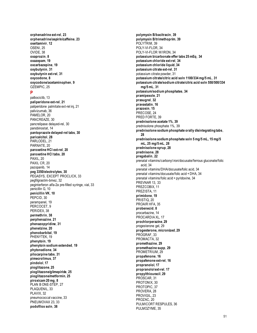**orphenadrine ext -rel**, **23 orphenadrine/aspirin/caffeine**, **23 oseltamivir**, **12** OSENI, 25 OVIDE, 38 **oxaprozin**, **8 oxazepam**, **19 oxcarbazepine**, **19 oxybutynin**, **31 oxybutynin ext -rel**, **31 oxycodone**, **8 oxycodone/acetaminophen**, **9** OZEMPIC, 25

#### **P**

palbociclib, 13 **paliperidone ext -rel**, **21** paliperidone palmitate ext -rel inj, 21 palivizumab, 36 PAMELOR, 20 PANCREAZE, 30 pancrelipase delayed -rel, 30 panobinostat, 14 **pantoprazole delayed -rel tabs**, **30 paricalcitol**, **28** PARLODEL, 21 PARNATE, 20 **paroxetine HCl ext -rel**, **20 paroxetine HCl tabs**, **20** PAXIL, 20 PAXIL CR, 20 pazopanib, 14 **peg 3350/electrolytes**, **30** PEGASYS, EXCEPT PROCLICK, 33 pegfilgrastim -bmez, 32 peginterferon alfa -2a pre -filled syringe, vial, 33 penicillin G, 10 **penicillin VK**, **10** PEPCID, 30 perampanel, 19 PERCOCET, 9 PERIDEX, 38 **permethrin**, **38 perphenazine**, **21 phenazopyridine**, **31 phenelzine**, **20 phenobarbital**, **19** PHENYTEK, 19 **phenytoin**, **19 phenytoin sodium extended**, **19 phytonadione**, **34 pilocarpine tabs**, **31 pimecrolimus**, **37 pindolol**, **17 pioglitazone**, **25 pioglitazone/glimepiride**, **25 pioglitazone/metformin**, **25 piroxicam 20 mg**, **8** PLAN B ONE -STEP, 27 PLAQUENIL, 33 PLAVIX, 32 pneumococcal vaccine, 33 PNEUMOVAX 23, 33 **podofilox soln**, **38**

**polymyxin B/bacitracin**, **39 polymyxin B/trimethoprim**, **39** POLYTRIM, 39 POLY - VI-FLOR, 34 POLY -VI -FLOR W/IRON, 34 **potassium bicarbonate effer tabs 25 mEq**, **34 potassium chloride ext -rel**, **34 potassium chloride liquid**, **34 potassium citrate ext -rel**, **31** potassium citrate powder, 31 **potassium citrate/citric acid soln 1100/334 mg/5 mL**, **31 potassium citrate/sodium citrate/citric acid soln 550/500/334 mg/5 mL**, **31 potassium/sodium phosphates**, **34 pramipexole**, **21 prasugrel**, **32 pravastatin**, **16 prazosin**, **15** PRECOSE, 24 PRED FORTE, 39 **prednisolone acetate 1%**, **39** prednisolone phosphate 1%, 39 **prednisolone sodium phosphate orally disintegrating tabs**, **28 prednisolone sodium phosphate soln 5 mg/5 mL, 15 mg/5 mL, 25 mg/5 mL**, **28 prednisolone syrup**, **28 prednisone**, **28 pregabalin**, **22** prenatal vitamins/carbonyl iron/docusate/ferrous gluconate/folic acid, 34 prenatal vitamins/DHA/docusate/folic acid, 34 prenatal vitamins/docusate/folic acid + DHA, 34 prenatal vitamins/folic acid + pyridoxine, 34 PREVNAR 13, 33 PREZCOBIX, 11 PREZISTA, 11 **primidone**, **19** PRISTIQ, 20 PROAIR HFA, 35 **probenecid**, **8** procarbazine, 14 PROCARDIA XL, 17 **prochlorperazine**, **29** progesterone gel, 29 **progesterone, micronized**, **29** PROGRAF, 33 PROMACTA, 32 **promethazine**, **29 promethazine supp**, **29** PROMETRIUM, 29 **propafenone**, **16 propafenone ext -rel**, **16 propranolol**, **17 propranolol ext -rel**, **17 propylthiouracil**, **29** PROSCAR, 31 PROTONIX, 30 PROTOPIC, 37 PROVERA, 28 PROVIGIL, 23 PROZAC, 20 PULMICORT RESPULES, 36 PULMOZYME, 35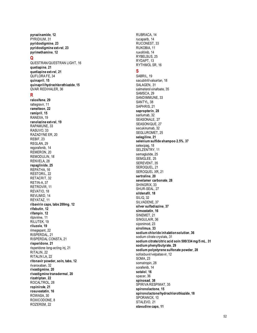**pyrazinamide**, **12** PYRIDIUM, 31 **pyridostigmine**, **23 pyridostigmine ext -rel**, **23 pyrimethamine**, **12**

#### **Q**

QUESTRAN/QUESTRAN LIGHT, 16 **quetiapine**, **21 quetiapine ext -rel**, **21** QUFLORA FE, 34 **quinapril**, **15 quinapril/hydrochlorothiazide**, **15** QVAR REDIHALER, 36

#### **R**

**raloxifene**, **29** raltegravir, 11 **ramelteon**, **22 ramipril**, **15** RANEXA, 19 **ranolazine ext -rel**, **19** RAPAMUNE, 33 RASUVO, 33 RAZADYNE ER, 20 REBIF, 23 REGLAN, 29 regorafenib, 14 REMERON, 20 REMODULIN, 18 RENVELA, 28 **repaglinide**, **25** REPATHA, 16 RESTORIL, 22 RETACRIT, 32 RETIN -A, 37 RETROVIR, 11 REVATIO, 18 REVLIMID, 14 REYATAZ, 11 **ribavirin caps, tabs 200mg**, **12 rifabutin**, **12 rifampin**, **12** rilpivirine, 11 RILUTEK, 19 **riluzole**, **19** rimegepant, 22 RISPERDAL, 21 RISPERDAL CONSTA, 21 **risperidone**, **21** risperidone long -acting inj, 21 RITALIN, 22 RITALIN LA, 22 **ritonavir powder, soln, tabs**, **12** rivaroxaban, 32 **rivastigmine**, **20 rivastigmine transdermal**, **20 rizatriptan**, **22** ROCALTROL, 28 **ropinirole**, **21 rosuvastatin**, **16** ROWASA, 30 ROXICODONE, 8 ROZEREM, 22

RUBRACA, 14 rucaparib, 14 RUCONEST, 33 RUKOBIA, 11 ruxolitinib, 14 RYBELSUS, 25 RYDAPT, 13 RYTHMOL SR, 16 **S** SABRIL, 19 sacubitril/valsartan, 18 SALAGEN, 31 salmeterol xinafoate, 35 SAMSCA, 29 SANDIMMUNE, 33 SANTYL, 38 SAPHRIS, 21 **sapropterin**, **28** sarilumab, 32 SEASONALE, 27 SEASONIQUE, 27 secukinumab, 32 SEGLUROMET, 25 **selegiline**, **21 selenium sulfide shampoo 2.5%**, **37** selexipag, 18 SELZENTRY, 11 semaglutide, 25 SEMGLEE, 25 SEREVENT, 35 SEROQUEL, 21 SEROQUEL XR, 21 **sertraline**, **20 sevelamer carbonate**, **28** SHINGRIX, 33 SHUR -SEAL, 27 **sildenafil**, **18** SILIQ, 32 SILVADENE, 37 **silver sulfadiazine**, **37 simvastatin**, **16** SINEMET, 21 SINGULAIR, 36 siponimod, 23 **sirolimus**, **33 sodium chloride inhalation solution**, **36** sodium citrate crystals, 31 **sodium citrate/citric acid soln 500/334 mg/5 mL**, **31 sodium phenylbutyrate**, **29 sodium polystyrene sulfonate powder**, **28** sofosbuvir/velpatasvir, 12 SOMA, 23 somatropin, 28 sorafenib, 14 **sotalol**, **16** spacer, 36 **spinosad**, **38** SPIRIVA RESPIMAT, 35 **spironolactone**, **15 spironolactone/hydrochlorothiazide**, **18** SPORANOX, 10 STALEVO, 21 **stavudine caps**, **11**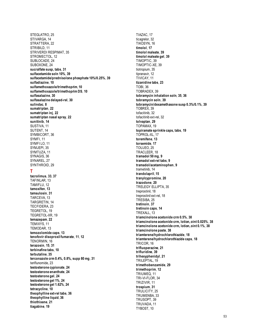STEGLATRO, 25 STIVARGA, 14 STRATTERA, 22 STRIBILD, 11 STRIVERDI RESPIMAT. 35 STROMECTOL, 12 SUBLOCADE, 24 SUBOXONE, 24 sucralfate susp, tabs, 31 sulfacetamide soln 10%, 39 sulfacetamide/prednisolone phosphate 10%/0.25%, 39 sulfadiazine. 10 sulfamethoxazole/trimethoprim, 10 sulfamethoxazole/trimethoprim DS, 10 sulfasalazine, 30 sulfasalazine delayed-rel, 30 sulindac, 8 sumatriptan, 22 sumatriptan inj, 22 sumatriptan nasal spray, 22 sunitinib, 14 SUSTIVA, 11 SUTENT, 14 SYMBICORT, 36 SYMFI.11 SYMFILO, 11 SYMJEPI.35 SYMTUZA, 11 SYNAGIS, 36 SYNAREL, 27 SYNTHROID, 29 Τ tacrolimus, 33, 37 TAFINLAR, 13 TAMIFLU, 12 tamoxifen. 13 tamsulosin. 31 TARCEVA, 13 TARGRETIN, 14 TECFIDERA, 23 TEGRETOL, 19 TEGRETOL-XR, 19 temazepam, 22 TEMIXYS, 11 TEMODAR, 13 temozolomide caps, 13 tenofovir disoproxil fumarate, 11, 12 TENORMIN, 16 terazosin, 15, 31 terbinafine tabs, 10 terbutaline, 35 terconazole crm 0.4%, 0.8%, supp 80 mg, 31 teriflunomide, 23 testosterone cypionate, 24 testosterone enanthate, 24 testosterone gel, 24 testosterone gel 1%, 24 testosterone gel 1.62%, 24 tetracycline, 10 theophylline ext-rel tabs, 36 theophylline liquid, 36 thiothixene. 21 tiagabine, 19

TIAZAC, 17 ticagrelor, 32 TIKOSYN, 16 timolol. 17 timolol maleate. 39 timolol maleate gel, 39 TIMOPTIC, 39 TIMOPTIC-XE, 39 tiotropium, 35 tipranavir, 12 TIVICAY, 11 tizanidine tabs, 23 **TOBI, 36** TOBRADEX, 39 tobramycin inhalation soln, 35, 36 tobramycin soln, 39 tobramycin/dexamethasone susp 0.3%/0.1%, 39 TOBREX, 39 tofacitinib, 32 tofacitinib ext-rel, 32 tolvaptan, 29 TOPAMAX, 19 topiramate sprinkle caps, tabs, 19 TOPROL-XL. 17 toremifene. 13 torsemide. 17 TOUJEO.<sub>25</sub> TRACLEER, 18 tramadol 50 mg, 9 tramadol ext-rel tabs, 9 tramadol/acetaminophen, 9 trametinib, 14 trandolapril, 15 tranylcypromine, 20 trazodone, 20 TRELEGY ELLIPTA, 35 treprostinil, 18 treprostinil ext-rel, 18 TRESIBA, 25 tretinoin, 37 tretinoin caps, 14 TREXALL, 13 triamcinolone acetonide crm 0.5%, 38 triamcinolone acetonide crm, lotion, oint 0.025%, 38 triamcinolone acetonide crm, lotion, oint 0.1%, 38 triamcinolone paste, 38 triamterene/hydrochlorothiazide, 18 triamterene/hydrochlorothiazide caps, 18 TRICOR. 16 trifluoperazine. 21 trifluridine, 39 trihexyphenidyl, 21 TRILEPTAL, 19 trimethobenzamide, 29 trimethoprim, 12 TRIUMEQ. 11 TRI-VI-FLOR, 34 TRIZIVIR, 11 trospium, 31 TRULICITY, 25 TRUMENBA, 33 TRUSOPT, 39 TRUVADA, 11 TYBOST. 10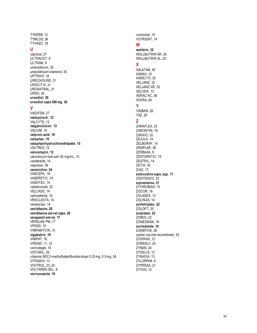TYKERB, 13 TYMLOS, 26 TYVASO, 18

#### **U**

ulipristal, 27 ULTRACET, 9 ULTRAM, 9 umeclidinium, 35 umeclidinium/vilanterol, 35 UPTRAVI, 18 URECHOLINE, 31 UROCIT -K, 31 UROXATRAL, 31 URSO, 30 **ursodiol**, **30 ursodiol caps 300 mg**, **30**

#### **V**

VAGIFEM, 27 **valacyclovir**, **12** VALCYTE, 12 **valganciclovir**, **12** VALIUM, 19 **valproic acid**, **19 valsartan**, **15 valsartan/hydrochlorothiazide**, **15** VALTREX, 12 **vancomycin**, **12** vancomycin oral soln 50 mg/mL, 12 vandetanib, 14 vaporizer, 36 **varenicline**, **24** VASCEPA, 16 VASERETIC, 15 VASOTEC, 14 vedolizumab, 32 VELCADE, 14 vemurafenib, 14 VENCLEXTA, 14 venetoclax, 14 **venlafaxine**, **20 venlafaxine ext -rel caps**, **20 verapamil ext -rel**, **17** VERELAN PM, 17 VFEND, 10 VIBRAMYCIN, 10 **vigabatrin**, **19** VIMPAT, 19 VIREAD, 11, 12 vismodegib, 14 VISTARIL, 35 vitamins ADC/l -methylfolate/fluoride drops 0.25 mg, 0.5 mg, 34 VITRAKVI, 13 VIVITROL, 23, 24 VOLTAREN GEL, 8 **voriconazole**, **10**

vorinostat, 14 VOTRIENT, 14

#### **W**

**warfarin**, **32** WELLBUTRIN SR, 20 WELLBUTRIN XL, 20

#### **X**

XALATAN, 40 XANAX, 19 XARELTO, 32 XELJANZ, 32 XELJANZ XR, 32 XELODA, 13 XERAC AC, 38 XIIDRA, 40 **Y**

YASMIN, 26 YAZ, 26

#### **Z**

ZANAFLEX, 23 ZARONTIN, 19 ZARXIO, 32 ZEJULA, 14 ZELBORAF, 14 ZEMPLAR, 28 ZERBAXA, 9 ZESTORETIC, 15 ZESTRIL, 14 ZETIA, 16 ZIAC, 17 **zidovudine caps, syp**, **11** ZIEXTENZO, 32 **ziprasidone**, **21** ZITHROMAX, 10 ZOCOR, 16 ZOLADEX, 13 ZOLINZA, 14 **zolmitriptan**, **22** ZOLOFT, 20 **zolpidem**, **22** ZOMIG, 22 ZONEGRAN, 19 **zonisamide**, **19** ZORBTIVE, 28 zoster vaccine recombinant, 33 ZOVIRAX, 12 ZUBSOLV, 24 ZYBAN, 24 ZYDELIG, 13 ZYKADIA, 13 ZYLOPRIM, 8 ZYPREXA, 21 ZYVOX, 12